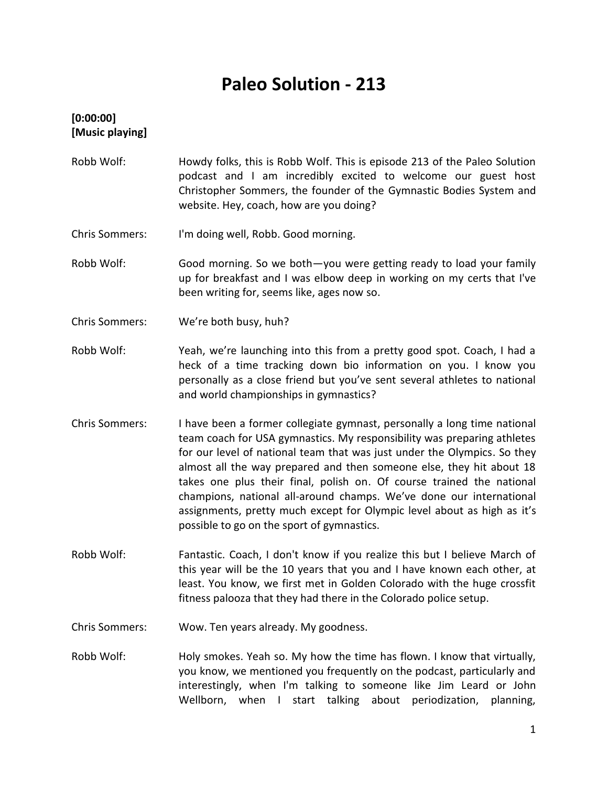# **Paleo Solution - 213**

### **[0:00:00] [Music playing]**

- Robb Wolf: Howdy folks, this is Robb Wolf. This is episode 213 of the Paleo Solution podcast and I am incredibly excited to welcome our guest host Christopher Sommers, the founder of the Gymnastic Bodies System and website. Hey, coach, how are you doing?
- Chris Sommers: I'm doing well, Robb. Good morning.
- Robb Wolf: Good morning. So we both—you were getting ready to load your family up for breakfast and I was elbow deep in working on my certs that I've been writing for, seems like, ages now so.
- Chris Sommers: We're both busy, huh?
- Robb Wolf: Yeah, we're launching into this from a pretty good spot. Coach, I had a heck of a time tracking down bio information on you. I know you personally as a close friend but you've sent several athletes to national and world championships in gymnastics?
- Chris Sommers: I have been a former collegiate gymnast, personally a long time national team coach for USA gymnastics. My responsibility was preparing athletes for our level of national team that was just under the Olympics. So they almost all the way prepared and then someone else, they hit about 18 takes one plus their final, polish on. Of course trained the national champions, national all-around champs. We've done our international assignments, pretty much except for Olympic level about as high as it's possible to go on the sport of gymnastics.
- Robb Wolf: Fantastic. Coach, I don't know if you realize this but I believe March of this year will be the 10 years that you and I have known each other, at least. You know, we first met in Golden Colorado with the huge crossfit fitness palooza that they had there in the Colorado police setup.
- Chris Sommers: Wow. Ten years already. My goodness.
- Robb Wolf: Holy smokes. Yeah so. My how the time has flown. I know that virtually, you know, we mentioned you frequently on the podcast, particularly and interestingly, when I'm talking to someone like Jim Leard or John Wellborn, when I start talking about periodization, planning,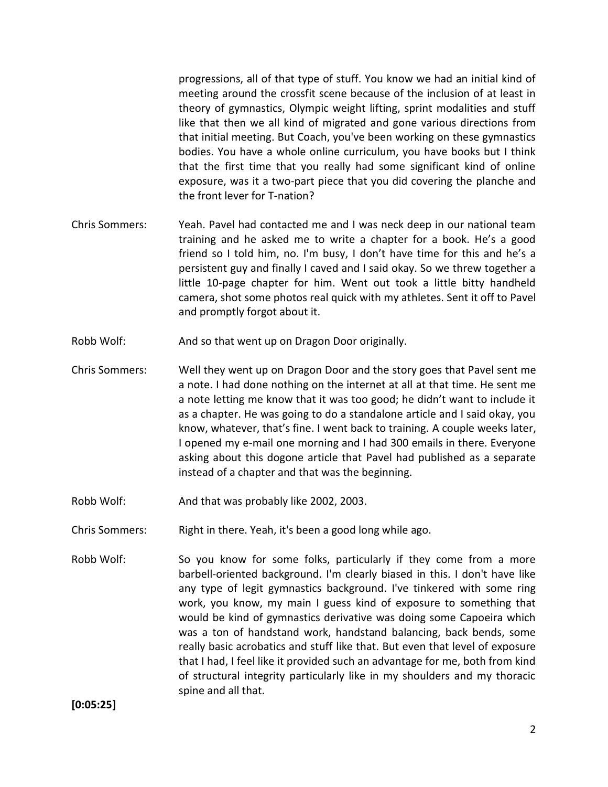progressions, all of that type of stuff. You know we had an initial kind of meeting around the crossfit scene because of the inclusion of at least in theory of gymnastics, Olympic weight lifting, sprint modalities and stuff like that then we all kind of migrated and gone various directions from that initial meeting. But Coach, you've been working on these gymnastics bodies. You have a whole online curriculum, you have books but I think that the first time that you really had some significant kind of online exposure, was it a two-part piece that you did covering the planche and the front lever for T-nation?

- Chris Sommers: Yeah. Pavel had contacted me and I was neck deep in our national team training and he asked me to write a chapter for a book. He's a good friend so I told him, no. I'm busy, I don't have time for this and he's a persistent guy and finally I caved and I said okay. So we threw together a little 10-page chapter for him. Went out took a little bitty handheld camera, shot some photos real quick with my athletes. Sent it off to Pavel and promptly forgot about it.
- Robb Wolf: And so that went up on Dragon Door originally.
- Chris Sommers: Well they went up on Dragon Door and the story goes that Pavel sent me a note. I had done nothing on the internet at all at that time. He sent me a note letting me know that it was too good; he didn't want to include it as a chapter. He was going to do a standalone article and I said okay, you know, whatever, that's fine. I went back to training. A couple weeks later, I opened my e-mail one morning and I had 300 emails in there. Everyone asking about this dogone article that Pavel had published as a separate instead of a chapter and that was the beginning.
- Robb Wolf: And that was probably like 2002, 2003.
- Chris Sommers: Right in there. Yeah, it's been a good long while ago.
- Robb Wolf: So you know for some folks, particularly if they come from a more barbell-oriented background. I'm clearly biased in this. I don't have like any type of legit gymnastics background. I've tinkered with some ring work, you know, my main I guess kind of exposure to something that would be kind of gymnastics derivative was doing some Capoeira which was a ton of handstand work, handstand balancing, back bends, some really basic acrobatics and stuff like that. But even that level of exposure that I had, I feel like it provided such an advantage for me, both from kind of structural integrity particularly like in my shoulders and my thoracic spine and all that.

**[0:05:25]**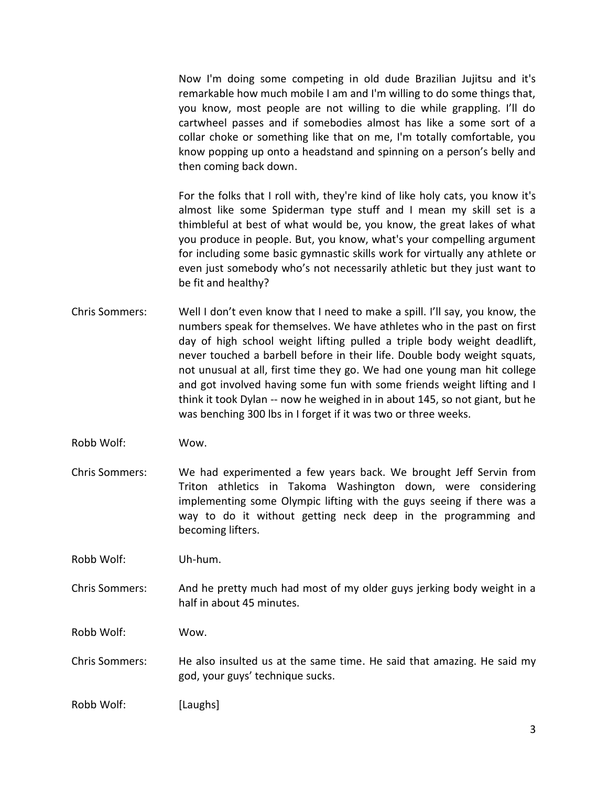Now I'm doing some competing in old dude Brazilian Jujitsu and it's remarkable how much mobile I am and I'm willing to do some things that, you know, most people are not willing to die while grappling. I'll do cartwheel passes and if somebodies almost has like a some sort of a collar choke or something like that on me, I'm totally comfortable, you know popping up onto a headstand and spinning on a person's belly and then coming back down.

For the folks that I roll with, they're kind of like holy cats, you know it's almost like some Spiderman type stuff and I mean my skill set is a thimbleful at best of what would be, you know, the great lakes of what you produce in people. But, you know, what's your compelling argument for including some basic gymnastic skills work for virtually any athlete or even just somebody who's not necessarily athletic but they just want to be fit and healthy?

- Chris Sommers: Well I don't even know that I need to make a spill. I'll say, you know, the numbers speak for themselves. We have athletes who in the past on first day of high school weight lifting pulled a triple body weight deadlift, never touched a barbell before in their life. Double body weight squats, not unusual at all, first time they go. We had one young man hit college and got involved having some fun with some friends weight lifting and I think it took Dylan -- now he weighed in in about 145, so not giant, but he was benching 300 lbs in I forget if it was two or three weeks.
- Robb Wolf: Wow.
- Chris Sommers: We had experimented a few years back. We brought Jeff Servin from Triton athletics in Takoma Washington down, were considering implementing some Olympic lifting with the guys seeing if there was a way to do it without getting neck deep in the programming and becoming lifters.

Robb Wolf: Uh-hum.

Chris Sommers: And he pretty much had most of my older guys jerking body weight in a half in about 45 minutes.

Robb Wolf: Wow.

Chris Sommers: He also insulted us at the same time. He said that amazing. He said my god, your guys' technique sucks.

Robb Wolf: [Laughs]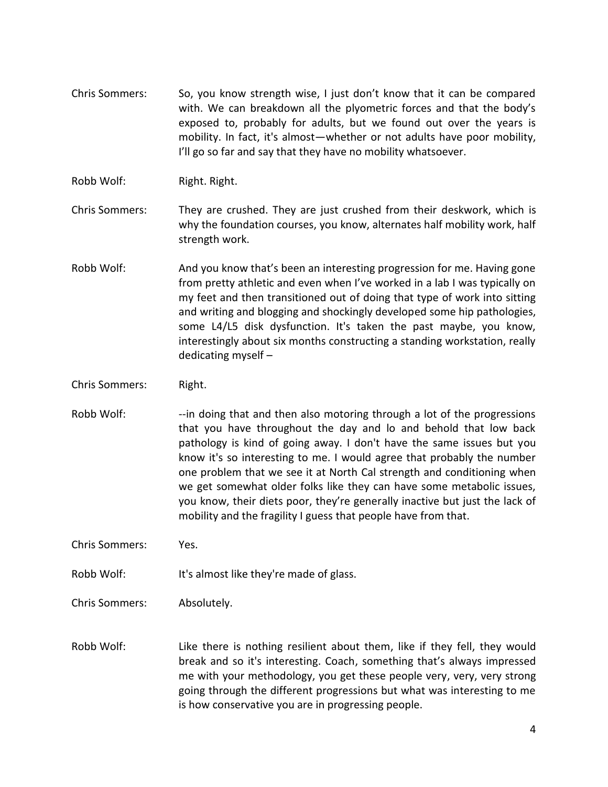- Chris Sommers: So, you know strength wise, I just don't know that it can be compared with. We can breakdown all the plyometric forces and that the body's exposed to, probably for adults, but we found out over the years is mobility. In fact, it's almost—whether or not adults have poor mobility, I'll go so far and say that they have no mobility whatsoever.
- Robb Wolf: Right. Right.
- Chris Sommers: They are crushed. They are just crushed from their deskwork, which is why the foundation courses, you know, alternates half mobility work, half strength work.
- Robb Wolf: And you know that's been an interesting progression for me. Having gone from pretty athletic and even when I've worked in a lab I was typically on my feet and then transitioned out of doing that type of work into sitting and writing and blogging and shockingly developed some hip pathologies, some L4/L5 disk dysfunction. It's taken the past maybe, you know, interestingly about six months constructing a standing workstation, really dedicating myself –
- Chris Sommers: Right.
- Robb Wolf: --in doing that and then also motoring through a lot of the progressions that you have throughout the day and lo and behold that low back pathology is kind of going away. I don't have the same issues but you know it's so interesting to me. I would agree that probably the number one problem that we see it at North Cal strength and conditioning when we get somewhat older folks like they can have some metabolic issues, you know, their diets poor, they're generally inactive but just the lack of mobility and the fragility I guess that people have from that.
- Chris Sommers: Yes.
- Robb Wolf: It's almost like they're made of glass.
- Chris Sommers: Absolutely.
- Robb Wolf: Like there is nothing resilient about them, like if they fell, they would break and so it's interesting. Coach, something that's always impressed me with your methodology, you get these people very, very, very strong going through the different progressions but what was interesting to me is how conservative you are in progressing people.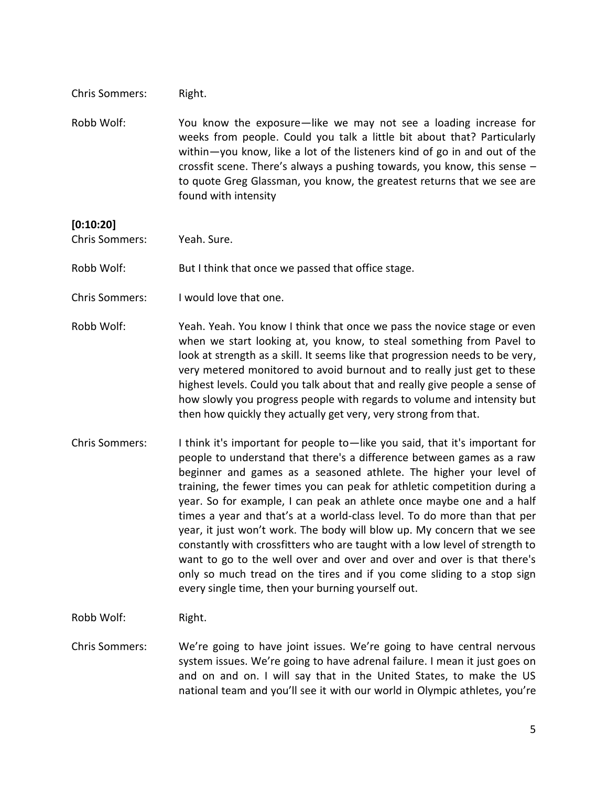| Robb Wolf: | You know the exposure—like we may not see a loading increase for           |  |
|------------|----------------------------------------------------------------------------|--|
|            | weeks from people. Could you talk a little bit about that? Particularly    |  |
|            | within-you know, like a lot of the listeners kind of go in and out of the  |  |
|            | crossfit scene. There's always a pushing towards, you know, this sense $-$ |  |
|            | to quote Greg Glassman, you know, the greatest returns that we see are     |  |
|            | found with intensity                                                       |  |

#### **[0:10:20]**

Chris Sommers: Yeah. Sure.

Chris Sommers: Right.

Robb Wolf: But I think that once we passed that office stage.

- Chris Sommers: I would love that one.
- Robb Wolf: Yeah. Yeah. You know I think that once we pass the novice stage or even when we start looking at, you know, to steal something from Pavel to look at strength as a skill. It seems like that progression needs to be very, very metered monitored to avoid burnout and to really just get to these highest levels. Could you talk about that and really give people a sense of how slowly you progress people with regards to volume and intensity but then how quickly they actually get very, very strong from that.
- Chris Sommers: I think it's important for people to—like you said, that it's important for people to understand that there's a difference between games as a raw beginner and games as a seasoned athlete. The higher your level of training, the fewer times you can peak for athletic competition during a year. So for example, I can peak an athlete once maybe one and a half times a year and that's at a world-class level. To do more than that per year, it just won't work. The body will blow up. My concern that we see constantly with crossfitters who are taught with a low level of strength to want to go to the well over and over and over and over is that there's only so much tread on the tires and if you come sliding to a stop sign every single time, then your burning yourself out.

Robb Wolf: Right.

Chris Sommers: We're going to have joint issues. We're going to have central nervous system issues. We're going to have adrenal failure. I mean it just goes on and on and on. I will say that in the United States, to make the US national team and you'll see it with our world in Olympic athletes, you're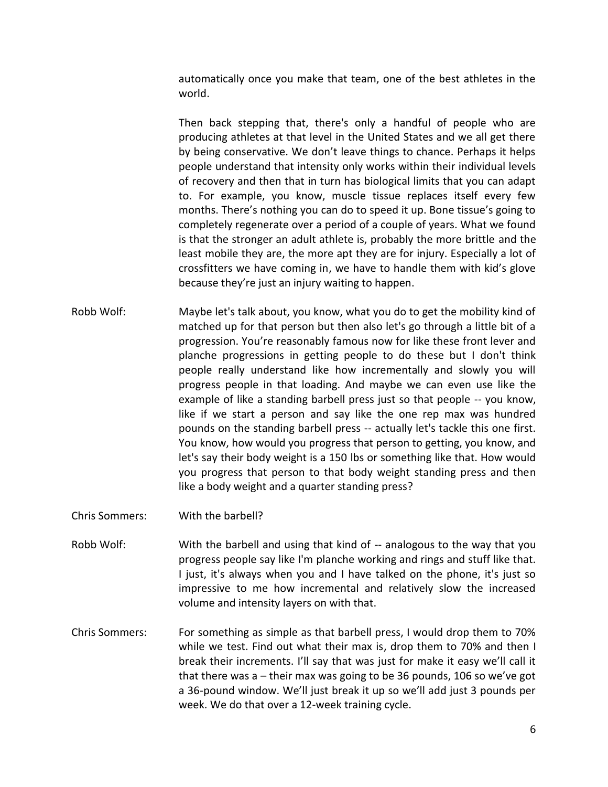automatically once you make that team, one of the best athletes in the world.

Then back stepping that, there's only a handful of people who are producing athletes at that level in the United States and we all get there by being conservative. We don't leave things to chance. Perhaps it helps people understand that intensity only works within their individual levels of recovery and then that in turn has biological limits that you can adapt to. For example, you know, muscle tissue replaces itself every few months. There's nothing you can do to speed it up. Bone tissue's going to completely regenerate over a period of a couple of years. What we found is that the stronger an adult athlete is, probably the more brittle and the least mobile they are, the more apt they are for injury. Especially a lot of crossfitters we have coming in, we have to handle them with kid's glove because they're just an injury waiting to happen.

- Robb Wolf: Maybe let's talk about, you know, what you do to get the mobility kind of matched up for that person but then also let's go through a little bit of a progression. You're reasonably famous now for like these front lever and planche progressions in getting people to do these but I don't think people really understand like how incrementally and slowly you will progress people in that loading. And maybe we can even use like the example of like a standing barbell press just so that people -- you know, like if we start a person and say like the one rep max was hundred pounds on the standing barbell press -- actually let's tackle this one first. You know, how would you progress that person to getting, you know, and let's say their body weight is a 150 lbs or something like that. How would you progress that person to that body weight standing press and then like a body weight and a quarter standing press?
- Chris Sommers: With the barbell?
- Robb Wolf: With the barbell and using that kind of -- analogous to the way that you progress people say like I'm planche working and rings and stuff like that. I just, it's always when you and I have talked on the phone, it's just so impressive to me how incremental and relatively slow the increased volume and intensity layers on with that.
- Chris Sommers: For something as simple as that barbell press, I would drop them to 70% while we test. Find out what their max is, drop them to 70% and then I break their increments. I'll say that was just for make it easy we'll call it that there was a – their max was going to be 36 pounds, 106 so we've got a 36-pound window. We'll just break it up so we'll add just 3 pounds per week. We do that over a 12-week training cycle.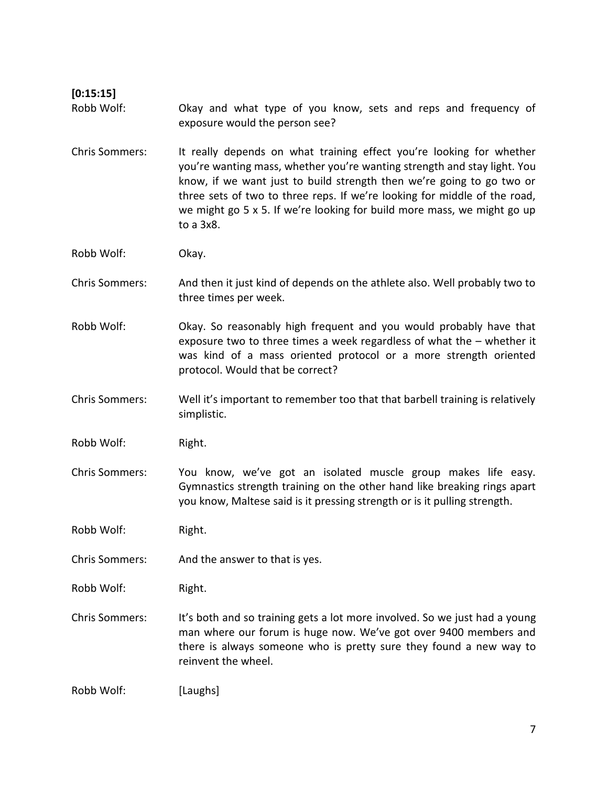| [0:15:15]             |                                                                                                                                                                                                                                                                                                                                                                                                |
|-----------------------|------------------------------------------------------------------------------------------------------------------------------------------------------------------------------------------------------------------------------------------------------------------------------------------------------------------------------------------------------------------------------------------------|
| Robb Wolf:            | Okay and what type of you know, sets and reps and frequency of<br>exposure would the person see?                                                                                                                                                                                                                                                                                               |
| <b>Chris Sommers:</b> | It really depends on what training effect you're looking for whether<br>you're wanting mass, whether you're wanting strength and stay light. You<br>know, if we want just to build strength then we're going to go two or<br>three sets of two to three reps. If we're looking for middle of the road,<br>we might go 5 x 5. If we're looking for build more mass, we might go up<br>to a 3x8. |
| Robb Wolf:            | Okay.                                                                                                                                                                                                                                                                                                                                                                                          |
| <b>Chris Sommers:</b> | And then it just kind of depends on the athlete also. Well probably two to<br>three times per week.                                                                                                                                                                                                                                                                                            |
| Robb Wolf:            | Okay. So reasonably high frequent and you would probably have that<br>exposure two to three times a week regardless of what the - whether it<br>was kind of a mass oriented protocol or a more strength oriented<br>protocol. Would that be correct?                                                                                                                                           |
| <b>Chris Sommers:</b> | Well it's important to remember too that that barbell training is relatively<br>simplistic.                                                                                                                                                                                                                                                                                                    |
| Robb Wolf:            | Right.                                                                                                                                                                                                                                                                                                                                                                                         |
| <b>Chris Sommers:</b> | You know, we've got an isolated muscle group makes life easy.<br>Gymnastics strength training on the other hand like breaking rings apart<br>you know, Maltese said is it pressing strength or is it pulling strength.                                                                                                                                                                         |
| Robb Wolf:            | Right.                                                                                                                                                                                                                                                                                                                                                                                         |
| <b>Chris Sommers:</b> | And the answer to that is yes.                                                                                                                                                                                                                                                                                                                                                                 |
| Robb Wolf:            | Right.                                                                                                                                                                                                                                                                                                                                                                                         |
| <b>Chris Sommers:</b> | It's both and so training gets a lot more involved. So we just had a young<br>man where our forum is huge now. We've got over 9400 members and<br>there is always someone who is pretty sure they found a new way to<br>reinvent the wheel.                                                                                                                                                    |
| Robb Wolf:            | [Laughs]                                                                                                                                                                                                                                                                                                                                                                                       |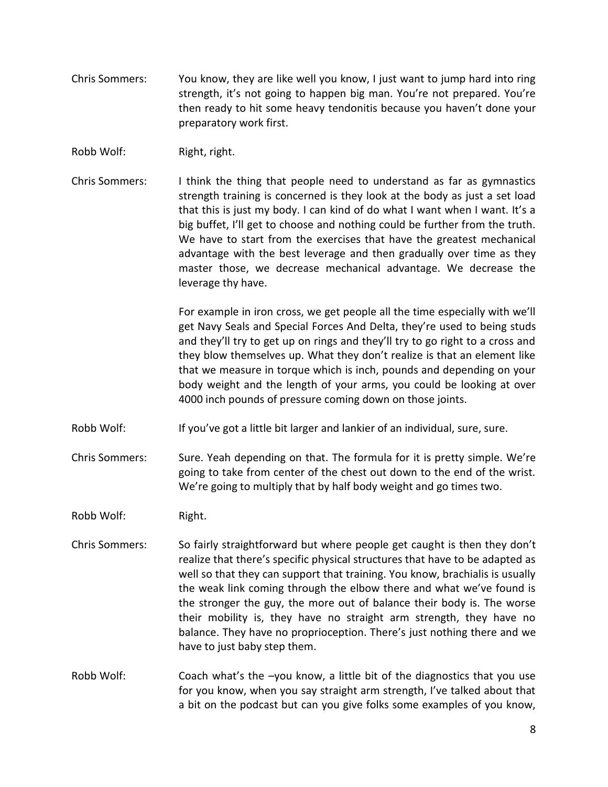- Chris Sommers: You know, they are like well you know, I just want to jump hard into ring strength, it's not going to happen big man. You're not prepared. You're then ready to hit some heavy tendonitis because you haven't done your preparatory work first.
- Robb Wolf: Right, right.
- Chris Sommers: I think the thing that people need to understand as far as gymnastics strength training is concerned is they look at the body as just a set load that this is just my body. I can kind of do what I want when I want. It's a big buffet, I'll get to choose and nothing could be further from the truth. We have to start from the exercises that have the greatest mechanical advantage with the best leverage and then gradually over time as they master those, we decrease mechanical advantage. We decrease the leverage thy have.

For example in iron cross, we get people all the time especially with we'll get Navy Seals and Special Forces And Delta, they're used to being studs and they'll try to get up on rings and they'll try to go right to a cross and they blow themselves up. What they don't realize is that an element like that we measure in torque which is inch, pounds and depending on your body weight and the length of your arms, you could be looking at over 4000 inch pounds of pressure coming down on those joints.

- Robb Wolf: If you've got a little bit larger and lankier of an individual, sure, sure.
- Chris Sommers: Sure. Yeah depending on that. The formula for it is pretty simple. We're going to take from center of the chest out down to the end of the wrist. We're going to multiply that by half body weight and go times two.

Robb Wolf: Right.

- Chris Sommers: So fairly straightforward but where people get caught is then they don't realize that there's specific physical structures that have to be adapted as well so that they can support that training. You know, brachialis is usually the weak link coming through the elbow there and what we've found is the stronger the guy, the more out of balance their body is. The worse their mobility is, they have no straight arm strength, they have no balance. They have no proprioception. There's just nothing there and we have to just baby step them.
- Robb Wolf: Coach what's the -you know, a little bit of the diagnostics that you use for you know, when you say straight arm strength, I've talked about that a bit on the podcast but can you give folks some examples of you know,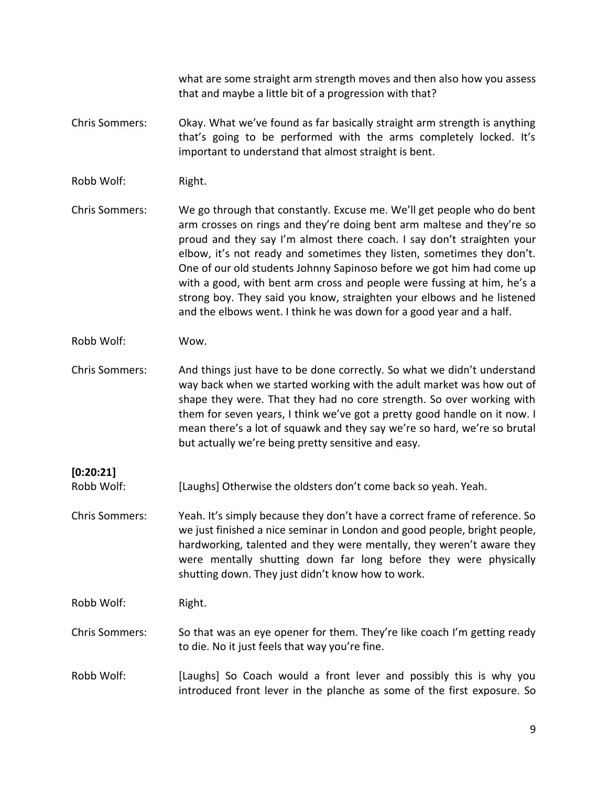what are some straight arm strength moves and then also how you assess that and maybe a little bit of a progression with that?

- Chris Sommers: Okay. What we've found as far basically straight arm strength is anything that's going to be performed with the arms completely locked. It's important to understand that almost straight is bent.
- Robb Wolf: Right.
- Chris Sommers: We go through that constantly. Excuse me. We'll get people who do bent arm crosses on rings and they're doing bent arm maltese and they're so proud and they say I'm almost there coach. I say don't straighten your elbow, it's not ready and sometimes they listen, sometimes they don't. One of our old students Johnny Sapinoso before we got him had come up with a good, with bent arm cross and people were fussing at him, he's a strong boy. They said you know, straighten your elbows and he listened and the elbows went. I think he was down for a good year and a half.
- Robb Wolf: Wow.
- Chris Sommers: And things just have to be done correctly. So what we didn't understand way back when we started working with the adult market was how out of shape they were. That they had no core strength. So over working with them for seven years, I think we've got a pretty good handle on it now. I mean there's a lot of squawk and they say we're so hard, we're so brutal but actually we're being pretty sensitive and easy.
- Robb Wolf: [Laughs] Otherwise the oldsters don't come back so yeah. Yeah.
- Chris Sommers: Yeah. It's simply because they don't have a correct frame of reference. So we just finished a nice seminar in London and good people, bright people, hardworking, talented and they were mentally, they weren't aware they were mentally shutting down far long before they were physically shutting down. They just didn't know how to work.

Robb Wolf: Right.

**[0:20:21]**

- Chris Sommers: So that was an eye opener for them. They're like coach I'm getting ready to die. No it just feels that way you're fine.
- Robb Wolf: [Laughs] So Coach would a front lever and possibly this is why you introduced front lever in the planche as some of the first exposure. So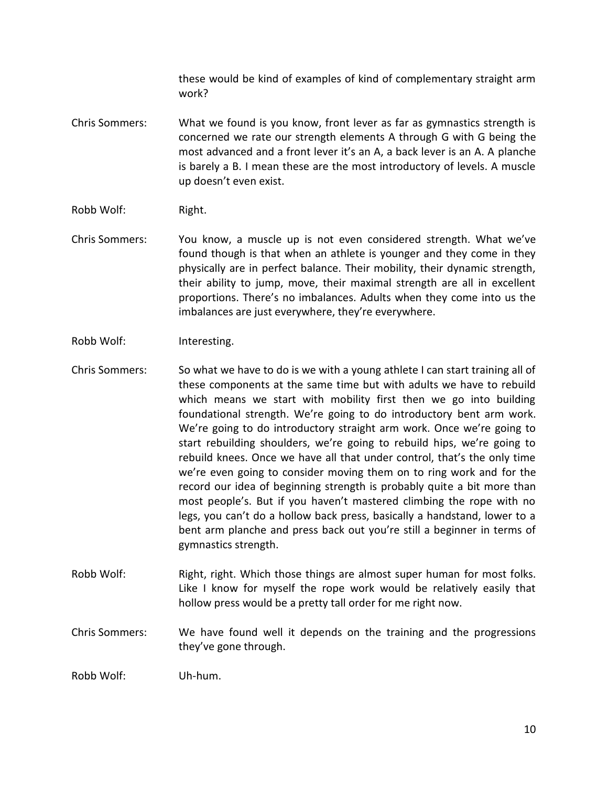these would be kind of examples of kind of complementary straight arm work?

- Chris Sommers: What we found is you know, front lever as far as gymnastics strength is concerned we rate our strength elements A through G with G being the most advanced and a front lever it's an A, a back lever is an A. A planche is barely a B. I mean these are the most introductory of levels. A muscle up doesn't even exist.
- Robb Wolf: Right.
- Chris Sommers: You know, a muscle up is not even considered strength. What we've found though is that when an athlete is younger and they come in they physically are in perfect balance. Their mobility, their dynamic strength, their ability to jump, move, their maximal strength are all in excellent proportions. There's no imbalances. Adults when they come into us the imbalances are just everywhere, they're everywhere.
- Robb Wolf: Interesting.
- Chris Sommers: So what we have to do is we with a young athlete I can start training all of these components at the same time but with adults we have to rebuild which means we start with mobility first then we go into building foundational strength. We're going to do introductory bent arm work. We're going to do introductory straight arm work. Once we're going to start rebuilding shoulders, we're going to rebuild hips, we're going to rebuild knees. Once we have all that under control, that's the only time we're even going to consider moving them on to ring work and for the record our idea of beginning strength is probably quite a bit more than most people's. But if you haven't mastered climbing the rope with no legs, you can't do a hollow back press, basically a handstand, lower to a bent arm planche and press back out you're still a beginner in terms of gymnastics strength.
- Robb Wolf: Right, right. Which those things are almost super human for most folks. Like I know for myself the rope work would be relatively easily that hollow press would be a pretty tall order for me right now.
- Chris Sommers: We have found well it depends on the training and the progressions they've gone through.

Robb Wolf: Uh-hum.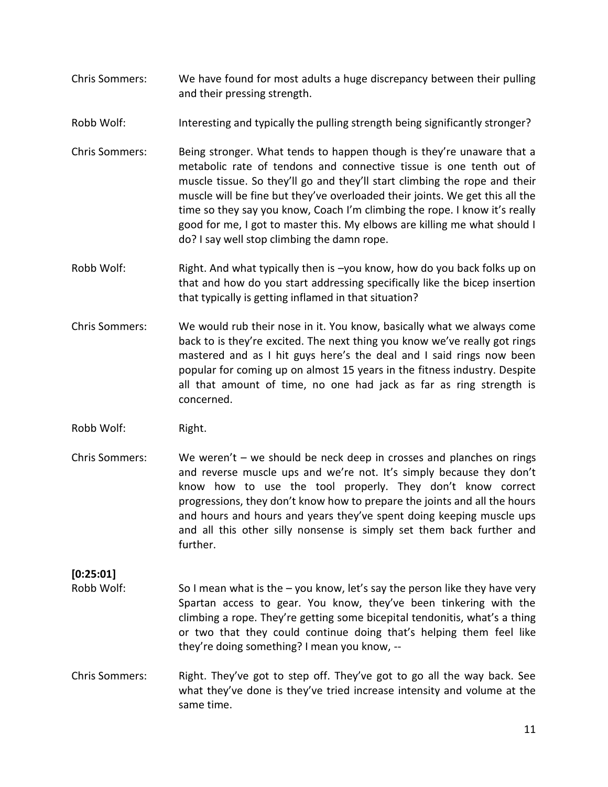- Chris Sommers: We have found for most adults a huge discrepancy between their pulling and their pressing strength.
- Robb Wolf: Interesting and typically the pulling strength being significantly stronger?
- Chris Sommers: Being stronger. What tends to happen though is they're unaware that a metabolic rate of tendons and connective tissue is one tenth out of muscle tissue. So they'll go and they'll start climbing the rope and their muscle will be fine but they've overloaded their joints. We get this all the time so they say you know, Coach I'm climbing the rope. I know it's really good for me, I got to master this. My elbows are killing me what should I do? I say well stop climbing the damn rope.
- Robb Wolf: Right. And what typically then is -you know, how do you back folks up on that and how do you start addressing specifically like the bicep insertion that typically is getting inflamed in that situation?
- Chris Sommers: We would rub their nose in it. You know, basically what we always come back to is they're excited. The next thing you know we've really got rings mastered and as I hit guys here's the deal and I said rings now been popular for coming up on almost 15 years in the fitness industry. Despite all that amount of time, no one had jack as far as ring strength is concerned.
- Robb Wolf: Right.
- Chris Sommers: We weren't we should be neck deep in crosses and planches on rings and reverse muscle ups and we're not. It's simply because they don't know how to use the tool properly. They don't know correct progressions, they don't know how to prepare the joints and all the hours and hours and hours and years they've spent doing keeping muscle ups and all this other silly nonsense is simply set them back further and further.

### **[0:25:01]**

- Robb Wolf: So I mean what is the  $-$  you know, let's say the person like they have very Spartan access to gear. You know, they've been tinkering with the climbing a rope. They're getting some bicepital tendonitis, what's a thing or two that they could continue doing that's helping them feel like they're doing something? I mean you know, --
- Chris Sommers: Right. They've got to step off. They've got to go all the way back. See what they've done is they've tried increase intensity and volume at the same time.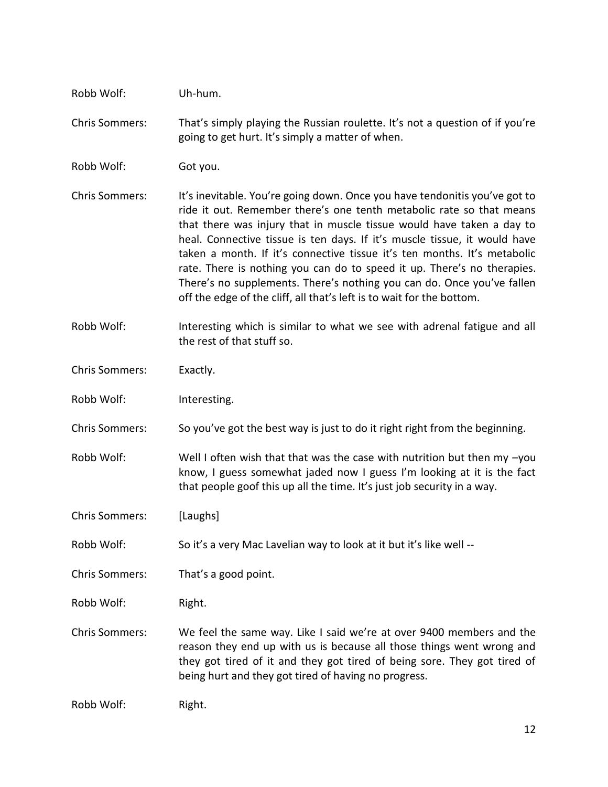| Robb Wolf:            | Uh-hum.                                                                                                                                                                                                                                                                                                                                                                                                                                                                                                                                                                                                            |
|-----------------------|--------------------------------------------------------------------------------------------------------------------------------------------------------------------------------------------------------------------------------------------------------------------------------------------------------------------------------------------------------------------------------------------------------------------------------------------------------------------------------------------------------------------------------------------------------------------------------------------------------------------|
| <b>Chris Sommers:</b> | That's simply playing the Russian roulette. It's not a question of if you're<br>going to get hurt. It's simply a matter of when.                                                                                                                                                                                                                                                                                                                                                                                                                                                                                   |
| Robb Wolf:            | Got you.                                                                                                                                                                                                                                                                                                                                                                                                                                                                                                                                                                                                           |
| <b>Chris Sommers:</b> | It's inevitable. You're going down. Once you have tendonitis you've got to<br>ride it out. Remember there's one tenth metabolic rate so that means<br>that there was injury that in muscle tissue would have taken a day to<br>heal. Connective tissue is ten days. If it's muscle tissue, it would have<br>taken a month. If it's connective tissue it's ten months. It's metabolic<br>rate. There is nothing you can do to speed it up. There's no therapies.<br>There's no supplements. There's nothing you can do. Once you've fallen<br>off the edge of the cliff, all that's left is to wait for the bottom. |
| Robb Wolf:            | Interesting which is similar to what we see with adrenal fatigue and all<br>the rest of that stuff so.                                                                                                                                                                                                                                                                                                                                                                                                                                                                                                             |
| <b>Chris Sommers:</b> | Exactly.                                                                                                                                                                                                                                                                                                                                                                                                                                                                                                                                                                                                           |
| Robb Wolf:            | Interesting.                                                                                                                                                                                                                                                                                                                                                                                                                                                                                                                                                                                                       |
| <b>Chris Sommers:</b> | So you've got the best way is just to do it right right from the beginning.                                                                                                                                                                                                                                                                                                                                                                                                                                                                                                                                        |
| Robb Wolf:            | Well I often wish that that was the case with nutrition but then my -you<br>know, I guess somewhat jaded now I guess I'm looking at it is the fact<br>that people goof this up all the time. It's just job security in a way.                                                                                                                                                                                                                                                                                                                                                                                      |
| <b>Chris Sommers:</b> | [Laughs]                                                                                                                                                                                                                                                                                                                                                                                                                                                                                                                                                                                                           |
| Robb Wolf:            | So it's a very Mac Lavelian way to look at it but it's like well --                                                                                                                                                                                                                                                                                                                                                                                                                                                                                                                                                |
| <b>Chris Sommers:</b> | That's a good point.                                                                                                                                                                                                                                                                                                                                                                                                                                                                                                                                                                                               |
| Robb Wolf:            | Right.                                                                                                                                                                                                                                                                                                                                                                                                                                                                                                                                                                                                             |
| <b>Chris Sommers:</b> | We feel the same way. Like I said we're at over 9400 members and the<br>reason they end up with us is because all those things went wrong and<br>they got tired of it and they got tired of being sore. They got tired of<br>being hurt and they got tired of having no progress.                                                                                                                                                                                                                                                                                                                                  |
| Robb Wolf:            | Right.                                                                                                                                                                                                                                                                                                                                                                                                                                                                                                                                                                                                             |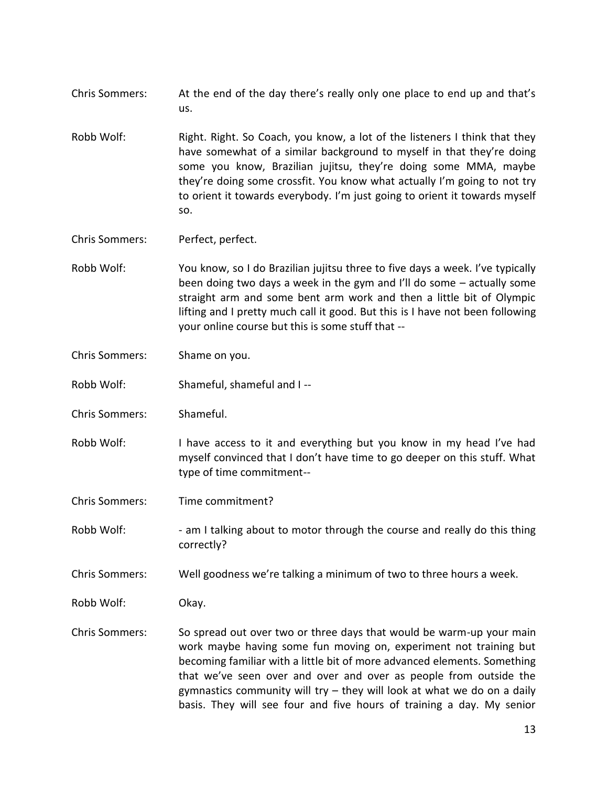- Chris Sommers: At the end of the day there's really only one place to end up and that's us.
- Robb Wolf: Right. Right. So Coach, you know, a lot of the listeners I think that they have somewhat of a similar background to myself in that they're doing some you know, Brazilian jujitsu, they're doing some MMA, maybe they're doing some crossfit. You know what actually I'm going to not try to orient it towards everybody. I'm just going to orient it towards myself so.

Chris Sommers: Perfect, perfect.

- Robb Wolf: You know, so I do Brazilian jujitsu three to five days a week. I've typically been doing two days a week in the gym and I'll do some – actually some straight arm and some bent arm work and then a little bit of Olympic lifting and I pretty much call it good. But this is I have not been following your online course but this is some stuff that --
- Chris Sommers: Shame on you.
- Robb Wolf: Shameful, shameful and I --
- Chris Sommers: Shameful.
- Robb Wolf: I have access to it and everything but you know in my head I've had myself convinced that I don't have time to go deeper on this stuff. What type of time commitment--
- Chris Sommers: Time commitment?
- Robb Wolf: am I talking about to motor through the course and really do this thing correctly?
- Chris Sommers: Well goodness we're talking a minimum of two to three hours a week.
- Robb Wolf: Okay.
- Chris Sommers: So spread out over two or three days that would be warm-up your main work maybe having some fun moving on, experiment not training but becoming familiar with a little bit of more advanced elements. Something that we've seen over and over and over as people from outside the gymnastics community will try – they will look at what we do on a daily basis. They will see four and five hours of training a day. My senior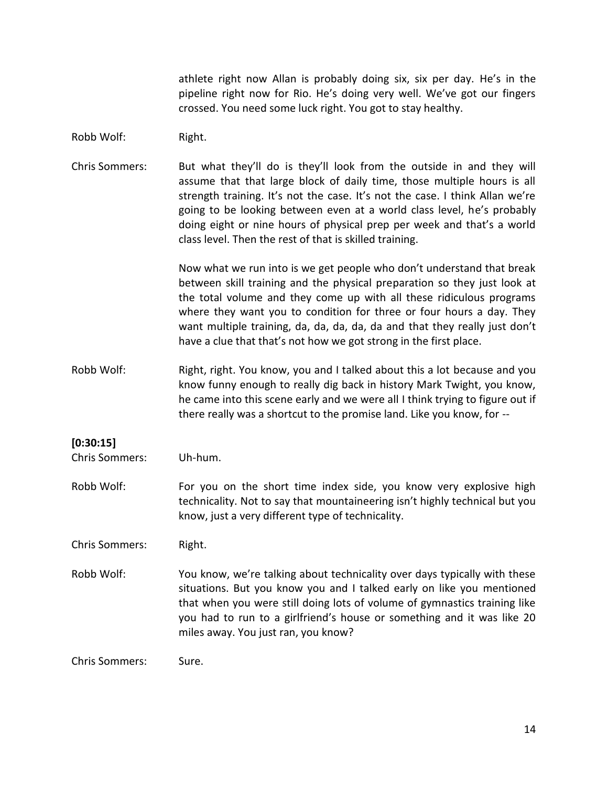athlete right now Allan is probably doing six, six per day. He's in the pipeline right now for Rio. He's doing very well. We've got our fingers crossed. You need some luck right. You got to stay healthy.

- Robb Wolf: Right.
- Chris Sommers: But what they'll do is they'll look from the outside in and they will assume that that large block of daily time, those multiple hours is all strength training. It's not the case. It's not the case. I think Allan we're going to be looking between even at a world class level, he's probably doing eight or nine hours of physical prep per week and that's a world class level. Then the rest of that is skilled training.

Now what we run into is we get people who don't understand that break between skill training and the physical preparation so they just look at the total volume and they come up with all these ridiculous programs where they want you to condition for three or four hours a day. They want multiple training, da, da, da, da, da and that they really just don't have a clue that that's not how we got strong in the first place.

Robb Wolf: Right, right. You know, you and I talked about this a lot because and you know funny enough to really dig back in history Mark Twight, you know, he came into this scene early and we were all I think trying to figure out if there really was a shortcut to the promise land. Like you know, for --

#### **[0:30:15]**

Chris Sommers: Uh-hum.

Robb Wolf: For you on the short time index side, you know very explosive high technicality. Not to say that mountaineering isn't highly technical but you know, just a very different type of technicality.

Chris Sommers: Right.

Robb Wolf: You know, we're talking about technicality over days typically with these situations. But you know you and I talked early on like you mentioned that when you were still doing lots of volume of gymnastics training like you had to run to a girlfriend's house or something and it was like 20 miles away. You just ran, you know?

Chris Sommers: Sure.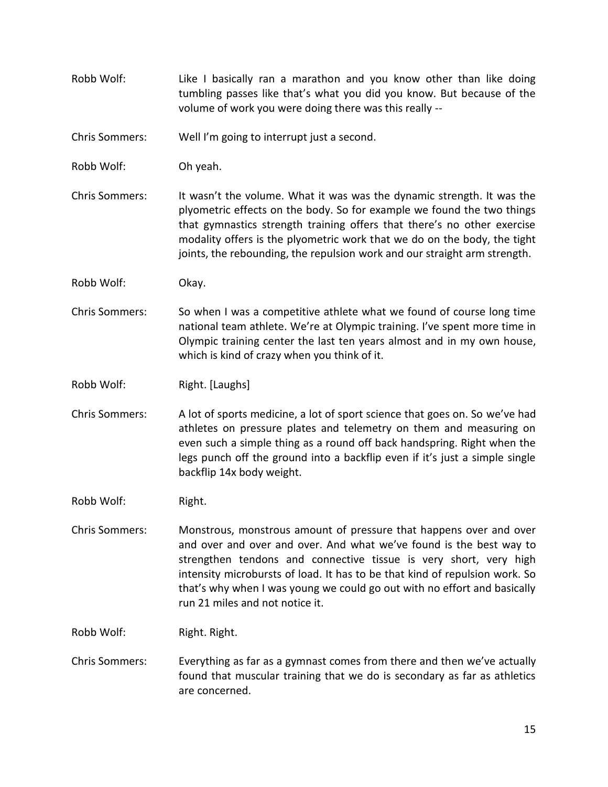Robb Wolf: Like I basically ran a marathon and you know other than like doing tumbling passes like that's what you did you know. But because of the volume of work you were doing there was this really --

Chris Sommers: Well I'm going to interrupt just a second.

Robb Wolf: Oh yeah.

- Chris Sommers: It wasn't the volume. What it was was the dynamic strength. It was the plyometric effects on the body. So for example we found the two things that gymnastics strength training offers that there's no other exercise modality offers is the plyometric work that we do on the body, the tight joints, the rebounding, the repulsion work and our straight arm strength.
- Robb Wolf: Okay.
- Chris Sommers: So when I was a competitive athlete what we found of course long time national team athlete. We're at Olympic training. I've spent more time in Olympic training center the last ten years almost and in my own house, which is kind of crazy when you think of it.

Robb Wolf: Right. [Laughs]

Chris Sommers: A lot of sports medicine, a lot of sport science that goes on. So we've had athletes on pressure plates and telemetry on them and measuring on even such a simple thing as a round off back handspring. Right when the legs punch off the ground into a backflip even if it's just a simple single backflip 14x body weight.

Robb Wolf: Right.

Chris Sommers: Monstrous, monstrous amount of pressure that happens over and over and over and over and over. And what we've found is the best way to strengthen tendons and connective tissue is very short, very high intensity microbursts of load. It has to be that kind of repulsion work. So that's why when I was young we could go out with no effort and basically run 21 miles and not notice it.

Robb Wolf: Right. Right.

Chris Sommers: Everything as far as a gymnast comes from there and then we've actually found that muscular training that we do is secondary as far as athletics are concerned.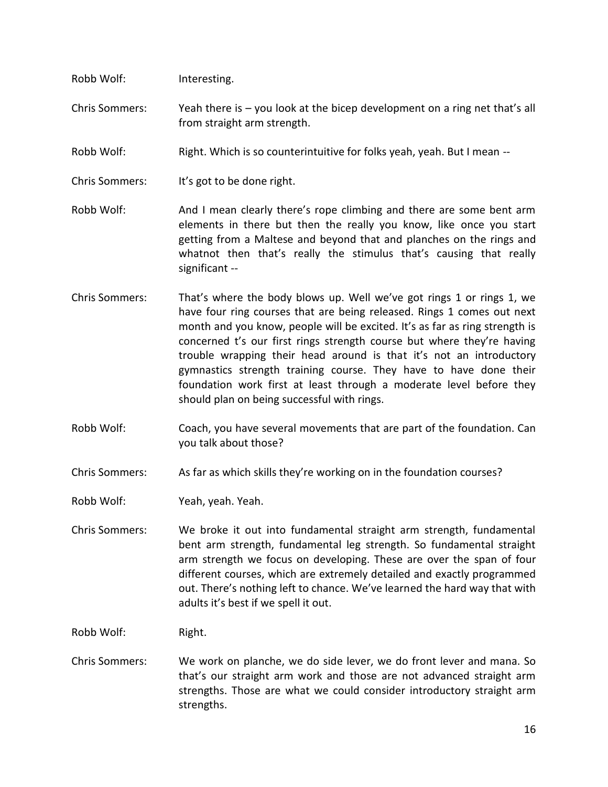| Robb Wolf:            | Interesting.                                                                                                |
|-----------------------|-------------------------------------------------------------------------------------------------------------|
| <b>Chris Sommers:</b> | Yeah there is $-$ you look at the bicep development on a ring net that's all<br>from straight arm strength. |
| Robb Wolf:            | Right. Which is so counterintuitive for folks yeah, yeah. But I mean --                                     |
| <b>Chris Sommers:</b> | It's got to be done right.                                                                                  |

Robb Wolf: And I mean clearly there's rope climbing and there are some bent arm elements in there but then the really you know, like once you start getting from a Maltese and beyond that and planches on the rings and whatnot then that's really the stimulus that's causing that really significant --

- Chris Sommers: That's where the body blows up. Well we've got rings 1 or rings 1, we have four ring courses that are being released. Rings 1 comes out next month and you know, people will be excited. It's as far as ring strength is concerned t's our first rings strength course but where they're having trouble wrapping their head around is that it's not an introductory gymnastics strength training course. They have to have done their foundation work first at least through a moderate level before they should plan on being successful with rings.
- Robb Wolf: Coach, you have several movements that are part of the foundation. Can you talk about those?

Chris Sommers: As far as which skills they're working on in the foundation courses?

Robb Wolf: Yeah, yeah. Yeah.

Chris Sommers: We broke it out into fundamental straight arm strength, fundamental bent arm strength, fundamental leg strength. So fundamental straight arm strength we focus on developing. These are over the span of four different courses, which are extremely detailed and exactly programmed out. There's nothing left to chance. We've learned the hard way that with adults it's best if we spell it out.

Robb Wolf: Right.

Chris Sommers: We work on planche, we do side lever, we do front lever and mana. So that's our straight arm work and those are not advanced straight arm strengths. Those are what we could consider introductory straight arm strengths.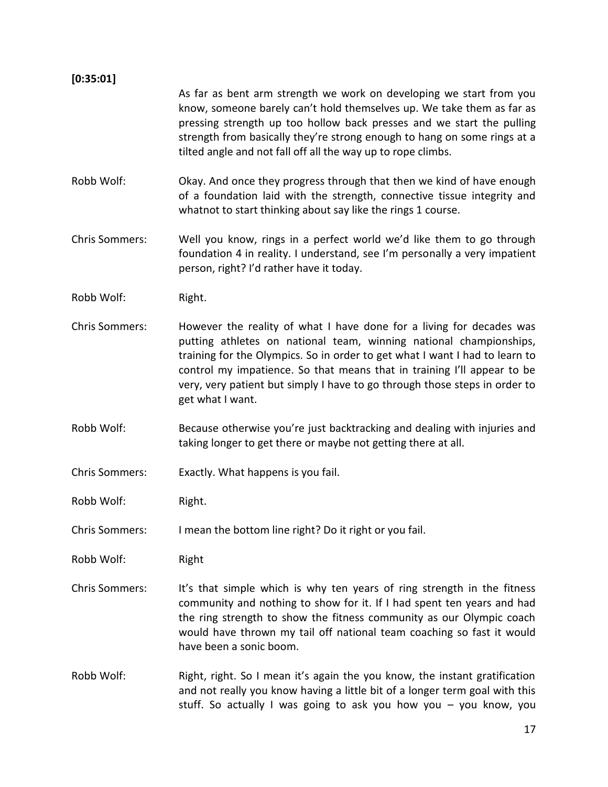## **[0:35:01]** As far as bent arm strength we work on developing we start from you know, someone barely can't hold themselves up. We take them as far as pressing strength up too hollow back presses and we start the pulling strength from basically they're strong enough to hang on some rings at a tilted angle and not fall off all the way up to rope climbs. Robb Wolf: Okay. And once they progress through that then we kind of have enough of a foundation laid with the strength, connective tissue integrity and whatnot to start thinking about say like the rings 1 course. Chris Sommers: Well you know, rings in a perfect world we'd like them to go through foundation 4 in reality. I understand, see I'm personally a very impatient person, right? I'd rather have it today. Robb Wolf: Right. Chris Sommers: However the reality of what I have done for a living for decades was putting athletes on national team, winning national championships, training for the Olympics. So in order to get what I want I had to learn to control my impatience. So that means that in training I'll appear to be very, very patient but simply I have to go through those steps in order to get what I want. Robb Wolf: Because otherwise you're just backtracking and dealing with injuries and taking longer to get there or maybe not getting there at all.

- Chris Sommers: Exactly. What happens is you fail.
- Robb Wolf: Right.
- Chris Sommers: I mean the bottom line right? Do it right or you fail.
- Robb Wolf: Right
- Chris Sommers: It's that simple which is why ten years of ring strength in the fitness community and nothing to show for it. If I had spent ten years and had the ring strength to show the fitness community as our Olympic coach would have thrown my tail off national team coaching so fast it would have been a sonic boom.
- Robb Wolf: Right, right. So I mean it's again the you know, the instant gratification and not really you know having a little bit of a longer term goal with this stuff. So actually I was going to ask you how you – you know, you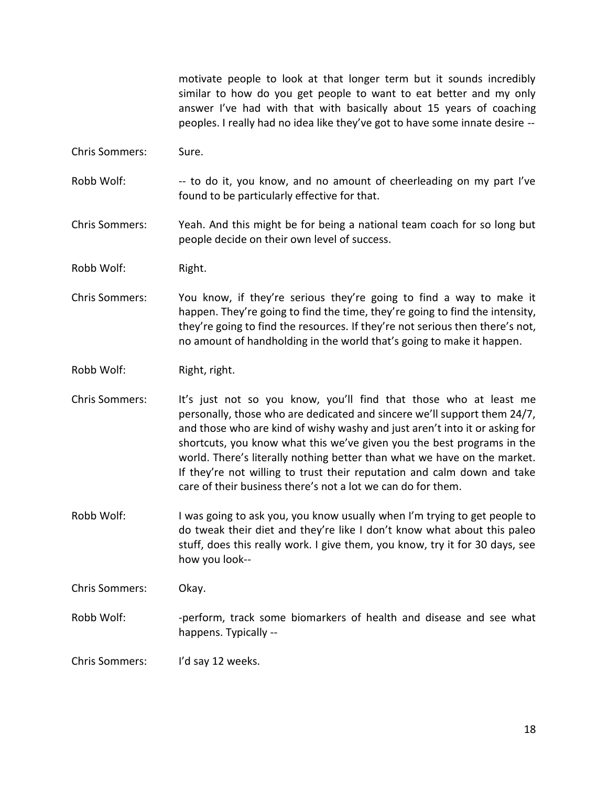motivate people to look at that longer term but it sounds incredibly similar to how do you get people to want to eat better and my only answer I've had with that with basically about 15 years of coaching peoples. I really had no idea like they've got to have some innate desire --

Chris Sommers: Sure.

Robb Wolf: --- to do it, you know, and no amount of cheerleading on my part I've found to be particularly effective for that.

Chris Sommers: Yeah. And this might be for being a national team coach for so long but people decide on their own level of success.

Robb Wolf: Right.

Chris Sommers: You know, if they're serious they're going to find a way to make it happen. They're going to find the time, they're going to find the intensity, they're going to find the resources. If they're not serious then there's not, no amount of handholding in the world that's going to make it happen.

Robb Wolf: Right, right.

Chris Sommers: It's just not so you know, you'll find that those who at least me personally, those who are dedicated and sincere we'll support them 24/7, and those who are kind of wishy washy and just aren't into it or asking for shortcuts, you know what this we've given you the best programs in the world. There's literally nothing better than what we have on the market. If they're not willing to trust their reputation and calm down and take care of their business there's not a lot we can do for them.

Robb Wolf: I was going to ask you, you know usually when I'm trying to get people to do tweak their diet and they're like I don't know what about this paleo stuff, does this really work. I give them, you know, try it for 30 days, see how you look--

Chris Sommers: Okay.

Robb Wolf: - - perform, track some biomarkers of health and disease and see what happens. Typically --

Chris Sommers: I'd say 12 weeks.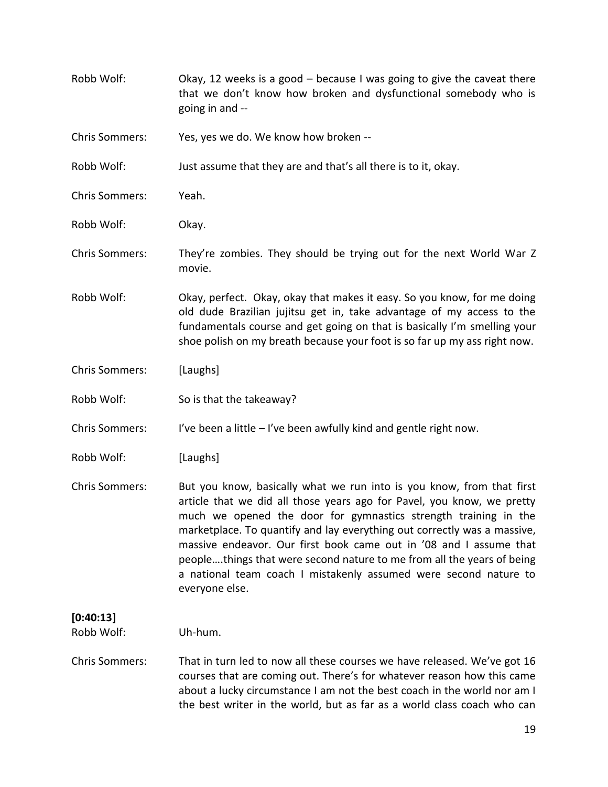Robb Wolf: Okay, 12 weeks is a good – because I was going to give the caveat there that we don't know how broken and dysfunctional somebody who is going in and -- Chris Sommers: Yes, yes we do. We know how broken -- Robb Wolf: Just assume that they are and that's all there is to it, okay. Chris Sommers: Yeah. Robb Wolf: Okay. Chris Sommers: They're zombies. They should be trying out for the next World War Z movie. Robb Wolf: Okay, perfect. Okay, okay that makes it easy. So you know, for me doing old dude Brazilian jujitsu get in, take advantage of my access to the fundamentals course and get going on that is basically I'm smelling your shoe polish on my breath because your foot is so far up my ass right now. Chris Sommers: [Laughs] Robb Wolf: So is that the takeaway? Chris Sommers: I've been a little  $-$  I've been awfully kind and gentle right now. Robb Wolf: [Laughs] Chris Sommers: But you know, basically what we run into is you know, from that first article that we did all those years ago for Pavel, you know, we pretty much we opened the door for gymnastics strength training in the marketplace. To quantify and lay everything out correctly was a massive, massive endeavor. Our first book came out in '08 and I assume that people….things that were second nature to me from all the years of being a national team coach I mistakenly assumed were second nature to everyone else. **[0:40:13]** Robb Wolf: Uh-hum. Chris Sommers: That in turn led to now all these courses we have released. We've got 16 courses that are coming out. There's for whatever reason how this came about a lucky circumstance I am not the best coach in the world nor am I the best writer in the world, but as far as a world class coach who can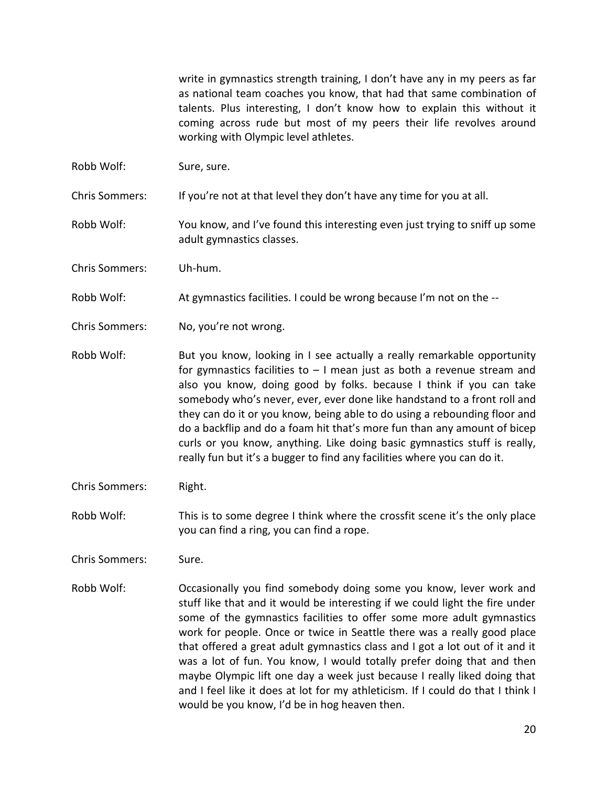write in gymnastics strength training, I don't have any in my peers as far as national team coaches you know, that had that same combination of talents. Plus interesting, I don't know how to explain this without it coming across rude but most of my peers their life revolves around working with Olympic level athletes.

Robb Wolf: Sure, sure.

Chris Sommers: If you're not at that level they don't have any time for you at all.

- Robb Wolf: You know, and I've found this interesting even just trying to sniff up some adult gymnastics classes.
- Chris Sommers: Uh-hum.
- Robb Wolf: At gymnastics facilities. I could be wrong because I'm not on the --
- Chris Sommers: No, you're not wrong.
- Robb Wolf: But you know, looking in I see actually a really remarkable opportunity for gymnastics facilities to  $-1$  mean just as both a revenue stream and also you know, doing good by folks. because I think if you can take somebody who's never, ever, ever done like handstand to a front roll and they can do it or you know, being able to do using a rebounding floor and do a backflip and do a foam hit that's more fun than any amount of bicep curls or you know, anything. Like doing basic gymnastics stuff is really, really fun but it's a bugger to find any facilities where you can do it.
- Chris Sommers: Right.
- Robb Wolf: This is to some degree I think where the crossfit scene it's the only place you can find a ring, you can find a rope.
- Chris Sommers: Sure.
- Robb Wolf: Occasionally you find somebody doing some you know, lever work and stuff like that and it would be interesting if we could light the fire under some of the gymnastics facilities to offer some more adult gymnastics work for people. Once or twice in Seattle there was a really good place that offered a great adult gymnastics class and I got a lot out of it and it was a lot of fun. You know, I would totally prefer doing that and then maybe Olympic lift one day a week just because I really liked doing that and I feel like it does at lot for my athleticism. If I could do that I think I would be you know, I'd be in hog heaven then.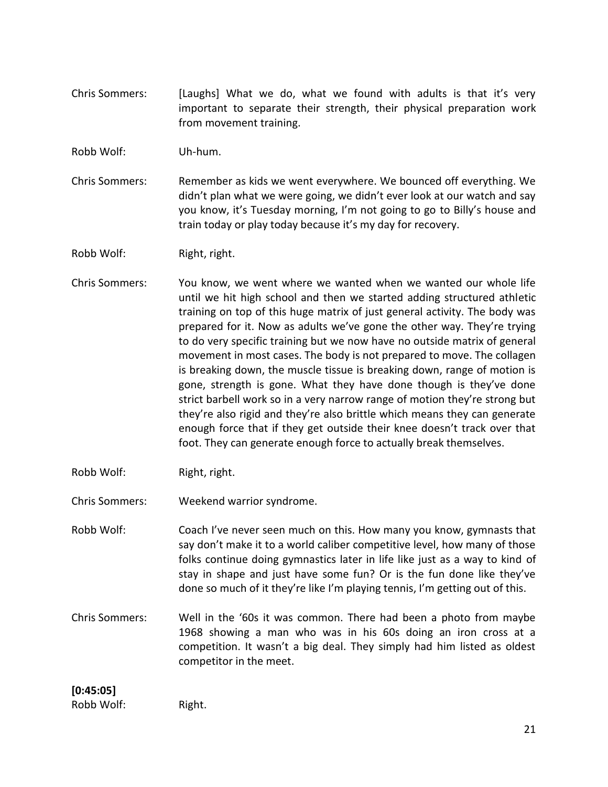Chris Sommers: [Laughs] What we do, what we found with adults is that it's very important to separate their strength, their physical preparation work from movement training.

Robb Wolf: Uh-hum.

Chris Sommers: Remember as kids we went everywhere. We bounced off everything. We didn't plan what we were going, we didn't ever look at our watch and say you know, it's Tuesday morning, I'm not going to go to Billy's house and train today or play today because it's my day for recovery.

Robb Wolf: Right, right.

- Chris Sommers: You know, we went where we wanted when we wanted our whole life until we hit high school and then we started adding structured athletic training on top of this huge matrix of just general activity. The body was prepared for it. Now as adults we've gone the other way. They're trying to do very specific training but we now have no outside matrix of general movement in most cases. The body is not prepared to move. The collagen is breaking down, the muscle tissue is breaking down, range of motion is gone, strength is gone. What they have done though is they've done strict barbell work so in a very narrow range of motion they're strong but they're also rigid and they're also brittle which means they can generate enough force that if they get outside their knee doesn't track over that foot. They can generate enough force to actually break themselves.
- Robb Wolf: Right, right.
- Chris Sommers: Weekend warrior syndrome.

Robb Wolf: Coach I've never seen much on this. How many you know, gymnasts that say don't make it to a world caliber competitive level, how many of those folks continue doing gymnastics later in life like just as a way to kind of stay in shape and just have some fun? Or is the fun done like they've done so much of it they're like I'm playing tennis, I'm getting out of this.

Chris Sommers: Well in the '60s it was common. There had been a photo from maybe 1968 showing a man who was in his 60s doing an iron cross at a competition. It wasn't a big deal. They simply had him listed as oldest competitor in the meet.

## **[0:45:05]**

Robb Wolf: Right.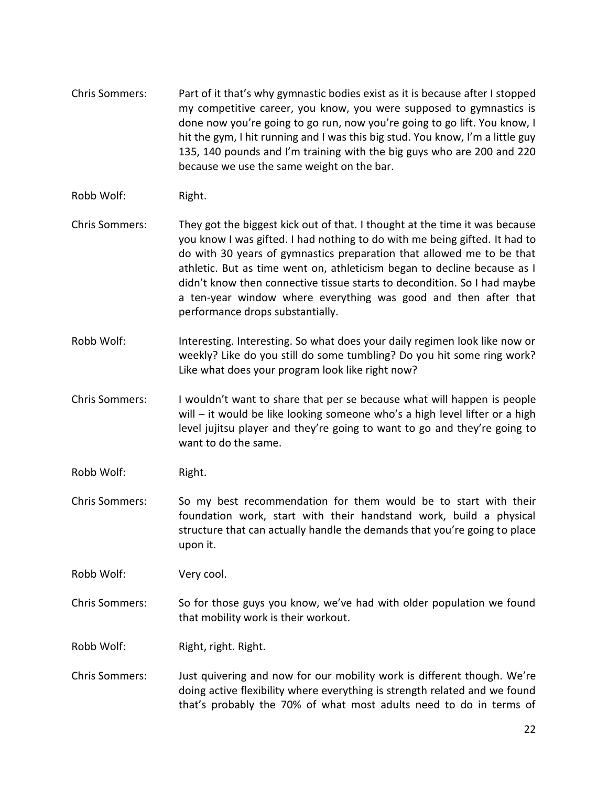- Chris Sommers: Part of it that's why gymnastic bodies exist as it is because after I stopped my competitive career, you know, you were supposed to gymnastics is done now you're going to go run, now you're going to go lift. You know, I hit the gym, I hit running and I was this big stud. You know, I'm a little guy 135, 140 pounds and I'm training with the big guys who are 200 and 220 because we use the same weight on the bar.
- Robb Wolf: Right.
- Chris Sommers: They got the biggest kick out of that. I thought at the time it was because you know I was gifted. I had nothing to do with me being gifted. It had to do with 30 years of gymnastics preparation that allowed me to be that athletic. But as time went on, athleticism began to decline because as I didn't know then connective tissue starts to decondition. So I had maybe a ten-year window where everything was good and then after that performance drops substantially.
- Robb Wolf: Interesting. Interesting. So what does your daily regimen look like now or weekly? Like do you still do some tumbling? Do you hit some ring work? Like what does your program look like right now?
- Chris Sommers: I wouldn't want to share that per se because what will happen is people will – it would be like looking someone who's a high level lifter or a high level jujitsu player and they're going to want to go and they're going to want to do the same.
- Robb Wolf: Right.
- Chris Sommers: So my best recommendation for them would be to start with their foundation work, start with their handstand work, build a physical structure that can actually handle the demands that you're going to place upon it.

Robb Wolf: Very cool.

Chris Sommers: So for those guys you know, we've had with older population we found that mobility work is their workout.

Robb Wolf: Right, right. Right.

Chris Sommers: Just quivering and now for our mobility work is different though. We're doing active flexibility where everything is strength related and we found that's probably the 70% of what most adults need to do in terms of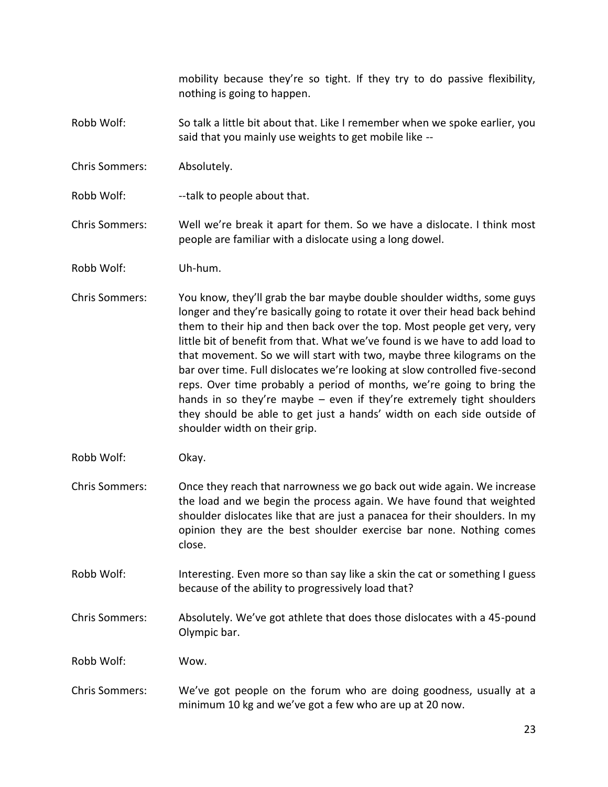mobility because they're so tight. If they try to do passive flexibility, nothing is going to happen.

- Robb Wolf: So talk a little bit about that. Like I remember when we spoke earlier, you said that you mainly use weights to get mobile like --
- Chris Sommers: Absolutely.
- Robb Wolf: --talk to people about that.

Chris Sommers: Well we're break it apart for them. So we have a dislocate. I think most people are familiar with a dislocate using a long dowel.

- Robb Wolf: Uh-hum.
- Chris Sommers: You know, they'll grab the bar maybe double shoulder widths, some guys longer and they're basically going to rotate it over their head back behind them to their hip and then back over the top. Most people get very, very little bit of benefit from that. What we've found is we have to add load to that movement. So we will start with two, maybe three kilograms on the bar over time. Full dislocates we're looking at slow controlled five-second reps. Over time probably a period of months, we're going to bring the hands in so they're maybe – even if they're extremely tight shoulders they should be able to get just a hands' width on each side outside of shoulder width on their grip.
- Robb Wolf: Okay.
- Chris Sommers: Once they reach that narrowness we go back out wide again. We increase the load and we begin the process again. We have found that weighted shoulder dislocates like that are just a panacea for their shoulders. In my opinion they are the best shoulder exercise bar none. Nothing comes close.
- Robb Wolf: Interesting. Even more so than say like a skin the cat or something I guess because of the ability to progressively load that?
- Chris Sommers: Absolutely. We've got athlete that does those dislocates with a 45-pound Olympic bar.

Robb Wolf: Wow.

Chris Sommers: We've got people on the forum who are doing goodness, usually at a minimum 10 kg and we've got a few who are up at 20 now.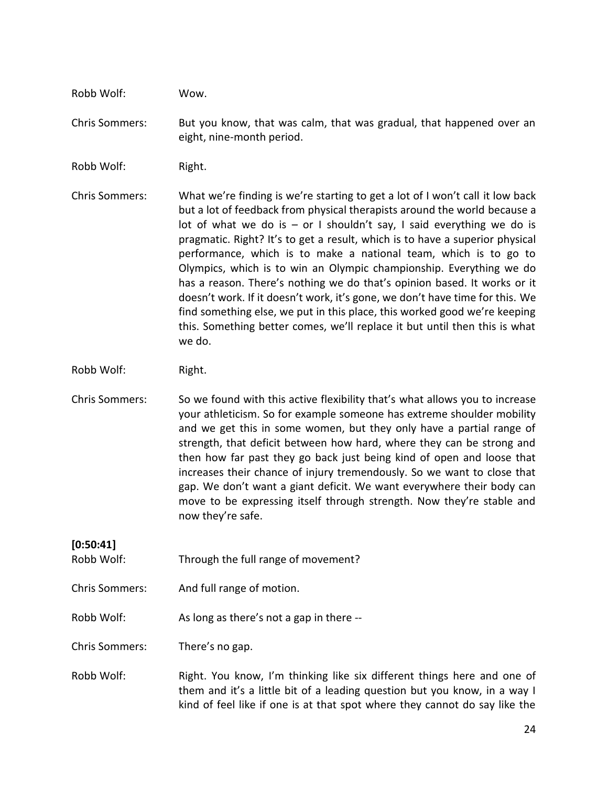Robb Wolf: Wow.

Chris Sommers: But you know, that was calm, that was gradual, that happened over an eight, nine-month period.

Robb Wolf: Right.

Chris Sommers: What we're finding is we're starting to get a lot of I won't call it low back but a lot of feedback from physical therapists around the world because a lot of what we do is  $-$  or I shouldn't say, I said everything we do is pragmatic. Right? It's to get a result, which is to have a superior physical performance, which is to make a national team, which is to go to Olympics, which is to win an Olympic championship. Everything we do has a reason. There's nothing we do that's opinion based. It works or it doesn't work. If it doesn't work, it's gone, we don't have time for this. We find something else, we put in this place, this worked good we're keeping this. Something better comes, we'll replace it but until then this is what we do.

Robb Wolf: Right.

Chris Sommers: So we found with this active flexibility that's what allows you to increase your athleticism. So for example someone has extreme shoulder mobility and we get this in some women, but they only have a partial range of strength, that deficit between how hard, where they can be strong and then how far past they go back just being kind of open and loose that increases their chance of injury tremendously. So we want to close that gap. We don't want a giant deficit. We want everywhere their body can move to be expressing itself through strength. Now they're stable and now they're safe.

**[0:50:41]**

- Robb Wolf: Through the full range of movement?
- Chris Sommers: And full range of motion.
- Robb Wolf: As long as there's not a gap in there --

Chris Sommers: There's no gap.

Robb Wolf: Right. You know, I'm thinking like six different things here and one of them and it's a little bit of a leading question but you know, in a way I kind of feel like if one is at that spot where they cannot do say like the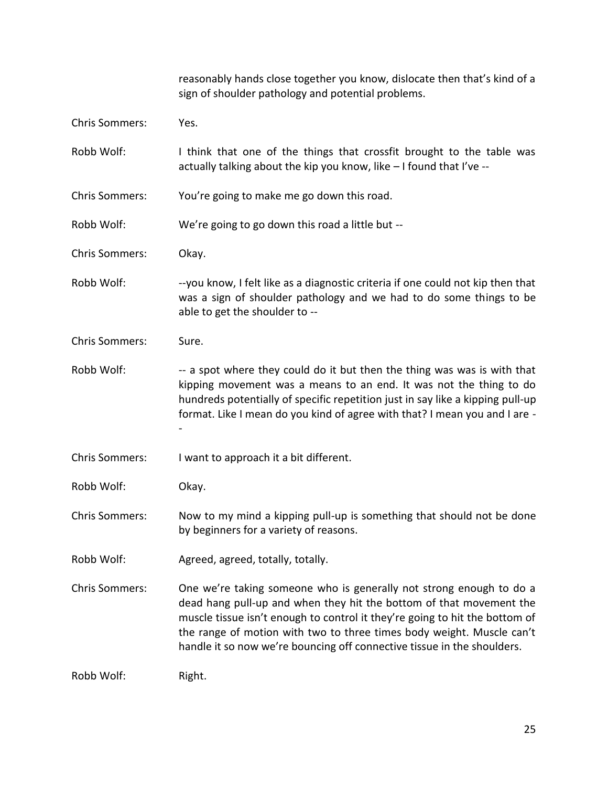|                       | reasonably hands close together you know, dislocate then that's kind of a<br>sign of shoulder pathology and potential problems.                                                                                                                                                                                                                                               |
|-----------------------|-------------------------------------------------------------------------------------------------------------------------------------------------------------------------------------------------------------------------------------------------------------------------------------------------------------------------------------------------------------------------------|
| <b>Chris Sommers:</b> | Yes.                                                                                                                                                                                                                                                                                                                                                                          |
| Robb Wolf:            | I think that one of the things that crossfit brought to the table was<br>actually talking about the kip you know, like - I found that I've --                                                                                                                                                                                                                                 |
| <b>Chris Sommers:</b> | You're going to make me go down this road.                                                                                                                                                                                                                                                                                                                                    |
| Robb Wolf:            | We're going to go down this road a little but --                                                                                                                                                                                                                                                                                                                              |
| <b>Chris Sommers:</b> | Okay.                                                                                                                                                                                                                                                                                                                                                                         |
| Robb Wolf:            | --you know, I felt like as a diagnostic criteria if one could not kip then that<br>was a sign of shoulder pathology and we had to do some things to be<br>able to get the shoulder to --                                                                                                                                                                                      |
| <b>Chris Sommers:</b> | Sure.                                                                                                                                                                                                                                                                                                                                                                         |
| Robb Wolf:            | -- a spot where they could do it but then the thing was was is with that<br>kipping movement was a means to an end. It was not the thing to do<br>hundreds potentially of specific repetition just in say like a kipping pull-up<br>format. Like I mean do you kind of agree with that? I mean you and I are -                                                                |
| <b>Chris Sommers:</b> | I want to approach it a bit different.                                                                                                                                                                                                                                                                                                                                        |
| Robb Wolf:            | Okay.                                                                                                                                                                                                                                                                                                                                                                         |
| <b>Chris Sommers:</b> | Now to my mind a kipping pull-up is something that should not be done<br>by beginners for a variety of reasons.                                                                                                                                                                                                                                                               |
| Robb Wolf:            | Agreed, agreed, totally, totally.                                                                                                                                                                                                                                                                                                                                             |
| <b>Chris Sommers:</b> | One we're taking someone who is generally not strong enough to do a<br>dead hang pull-up and when they hit the bottom of that movement the<br>muscle tissue isn't enough to control it they're going to hit the bottom of<br>the range of motion with two to three times body weight. Muscle can't<br>handle it so now we're bouncing off connective tissue in the shoulders. |
| Robb Wolf:            | Right.                                                                                                                                                                                                                                                                                                                                                                        |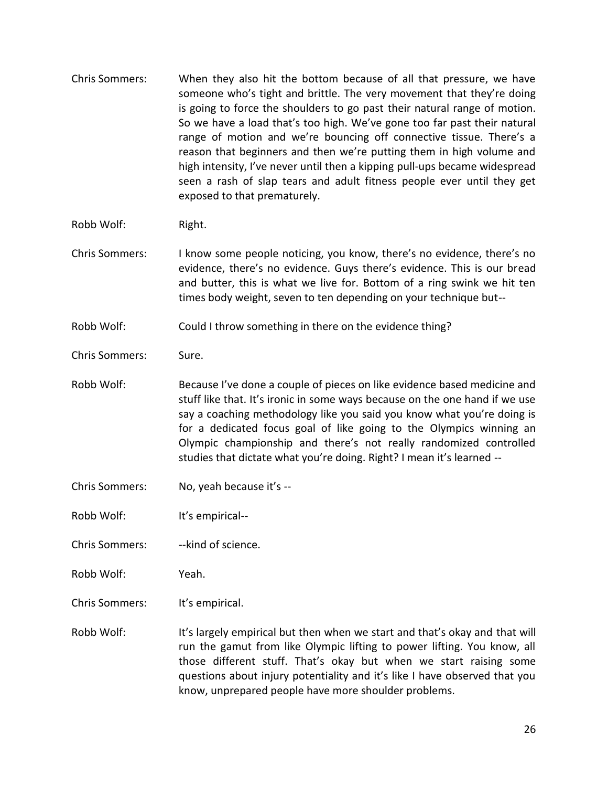- Chris Sommers: When they also hit the bottom because of all that pressure, we have someone who's tight and brittle. The very movement that they're doing is going to force the shoulders to go past their natural range of motion. So we have a load that's too high. We've gone too far past their natural range of motion and we're bouncing off connective tissue. There's a reason that beginners and then we're putting them in high volume and high intensity, I've never until then a kipping pull-ups became widespread seen a rash of slap tears and adult fitness people ever until they get exposed to that prematurely.
- Robb Wolf: Right.
- Chris Sommers: I know some people noticing, you know, there's no evidence, there's no evidence, there's no evidence. Guys there's evidence. This is our bread and butter, this is what we live for. Bottom of a ring swink we hit ten times body weight, seven to ten depending on your technique but--
- Robb Wolf: Could I throw something in there on the evidence thing?
- Chris Sommers: Sure.
- Robb Wolf: Because I've done a couple of pieces on like evidence based medicine and stuff like that. It's ironic in some ways because on the one hand if we use say a coaching methodology like you said you know what you're doing is for a dedicated focus goal of like going to the Olympics winning an Olympic championship and there's not really randomized controlled studies that dictate what you're doing. Right? I mean it's learned --
- Chris Sommers: No, yeah because it's --
- Robb Wolf: It's empirical--
- Chris Sommers: -- kind of science.
- Robb Wolf: Yeah.
- Chris Sommers: It's empirical.
- Robb Wolf: It's largely empirical but then when we start and that's okay and that will run the gamut from like Olympic lifting to power lifting. You know, all those different stuff. That's okay but when we start raising some questions about injury potentiality and it's like I have observed that you know, unprepared people have more shoulder problems.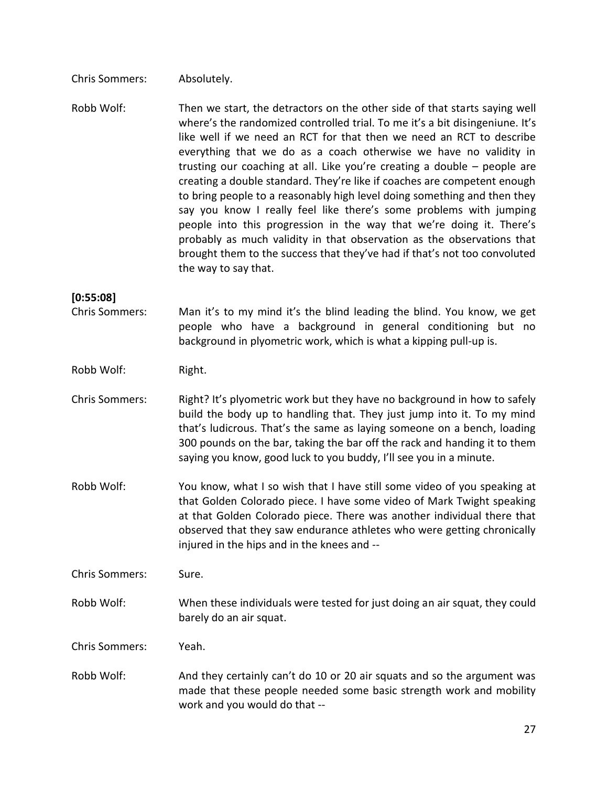Chris Sommers: Absolutely.

Robb Wolf: Then we start, the detractors on the other side of that starts saying well where's the randomized controlled trial. To me it's a bit disingeniune. It's like well if we need an RCT for that then we need an RCT to describe everything that we do as a coach otherwise we have no validity in trusting our coaching at all. Like you're creating a double – people are creating a double standard. They're like if coaches are competent enough to bring people to a reasonably high level doing something and then they say you know I really feel like there's some problems with jumping people into this progression in the way that we're doing it. There's probably as much validity in that observation as the observations that brought them to the success that they've had if that's not too convoluted the way to say that.

#### **[0:55:08]**

Chris Sommers: Man it's to my mind it's the blind leading the blind. You know, we get people who have a background in general conditioning but no background in plyometric work, which is what a kipping pull-up is.

Robb Wolf: Right.

- Chris Sommers: Right? It's plyometric work but they have no background in how to safely build the body up to handling that. They just jump into it. To my mind that's ludicrous. That's the same as laying someone on a bench, loading 300 pounds on the bar, taking the bar off the rack and handing it to them saying you know, good luck to you buddy, I'll see you in a minute.
- Robb Wolf: You know, what I so wish that I have still some video of you speaking at that Golden Colorado piece. I have some video of Mark Twight speaking at that Golden Colorado piece. There was another individual there that observed that they saw endurance athletes who were getting chronically injured in the hips and in the knees and --

Chris Sommers: Sure.

Robb Wolf: When these individuals were tested for just doing an air squat, they could barely do an air squat.

Chris Sommers: Yeah.

Robb Wolf: And they certainly can't do 10 or 20 air squats and so the argument was made that these people needed some basic strength work and mobility work and you would do that --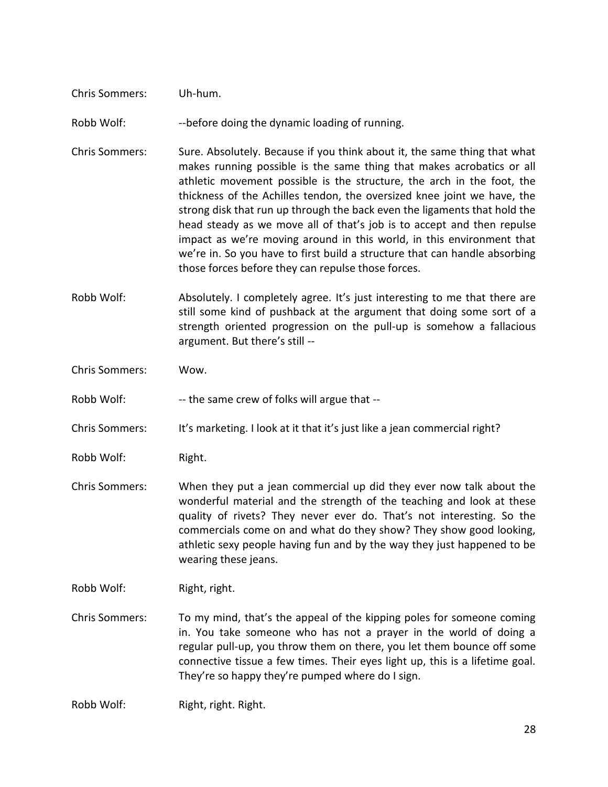| <b>Chris Sommers:</b> | Uh-hum. |  |
|-----------------------|---------|--|
|                       |         |  |

Robb Wolf: --before doing the dynamic loading of running.

- Chris Sommers: Sure. Absolutely. Because if you think about it, the same thing that what makes running possible is the same thing that makes acrobatics or all athletic movement possible is the structure, the arch in the foot, the thickness of the Achilles tendon, the oversized knee joint we have, the strong disk that run up through the back even the ligaments that hold the head steady as we move all of that's job is to accept and then repulse impact as we're moving around in this world, in this environment that we're in. So you have to first build a structure that can handle absorbing those forces before they can repulse those forces.
- Robb Wolf: Absolutely. I completely agree. It's just interesting to me that there are still some kind of pushback at the argument that doing some sort of a strength oriented progression on the pull-up is somehow a fallacious argument. But there's still --
- Chris Sommers: Wow.
- Robb Wolf: --- the same crew of folks will argue that --
- Chris Sommers: It's marketing. I look at it that it's just like a jean commercial right?
- Robb Wolf: Right.
- Chris Sommers: When they put a jean commercial up did they ever now talk about the wonderful material and the strength of the teaching and look at these quality of rivets? They never ever do. That's not interesting. So the commercials come on and what do they show? They show good looking, athletic sexy people having fun and by the way they just happened to be wearing these jeans.
- Robb Wolf: Right, right.
- Chris Sommers: To my mind, that's the appeal of the kipping poles for someone coming in. You take someone who has not a prayer in the world of doing a regular pull-up, you throw them on there, you let them bounce off some connective tissue a few times. Their eyes light up, this is a lifetime goal. They're so happy they're pumped where do I sign.
- Robb Wolf: Right, right. Right.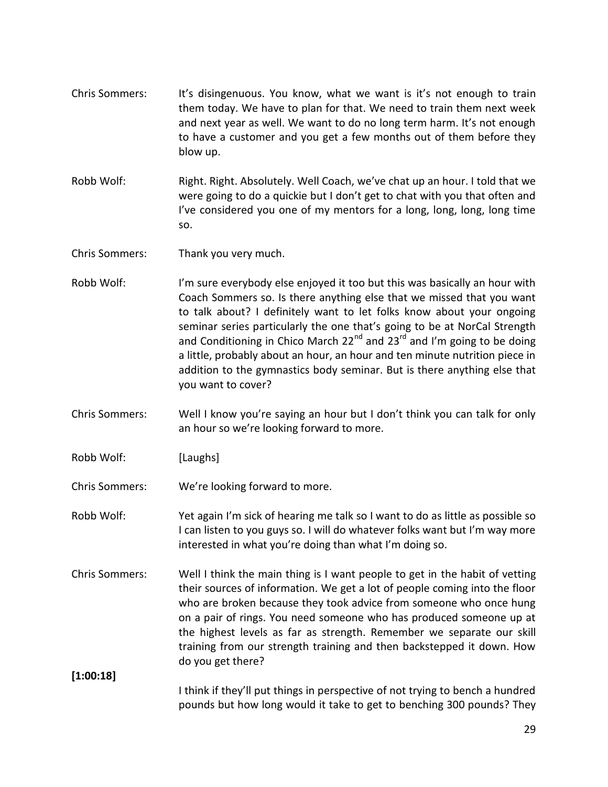- Chris Sommers: It's disingenuous. You know, what we want is it's not enough to train them today. We have to plan for that. We need to train them next week and next year as well. We want to do no long term harm. It's not enough to have a customer and you get a few months out of them before they blow up.
- Robb Wolf: Right. Right. Absolutely. Well Coach, we've chat up an hour. I told that we were going to do a quickie but I don't get to chat with you that often and I've considered you one of my mentors for a long, long, long, long time so.

Chris Sommers: Thank you very much.

- Robb Wolf: I'm sure everybody else enjoyed it too but this was basically an hour with Coach Sommers so. Is there anything else that we missed that you want to talk about? I definitely want to let folks know about your ongoing seminar series particularly the one that's going to be at NorCal Strength and Conditioning in Chico March 22 $<sup>nd</sup>$  and 23 $<sup>rd</sup>$  and I'm going to be doing</sup></sup> a little, probably about an hour, an hour and ten minute nutrition piece in addition to the gymnastics body seminar. But is there anything else that you want to cover?
- Chris Sommers: Well I know you're saying an hour but I don't think you can talk for only an hour so we're looking forward to more.
- Robb Wolf: [Laughs]

Chris Sommers: We're looking forward to more.

- Robb Wolf: Yet again I'm sick of hearing me talk so I want to do as little as possible so I can listen to you guys so. I will do whatever folks want but I'm way more interested in what you're doing than what I'm doing so.
- Chris Sommers: Well I think the main thing is I want people to get in the habit of vetting their sources of information. We get a lot of people coming into the floor who are broken because they took advice from someone who once hung on a pair of rings. You need someone who has produced someone up at the highest levels as far as strength. Remember we separate our skill training from our strength training and then backstepped it down. How do you get there?

**[1:00:18]**

I think if they'll put things in perspective of not trying to bench a hundred pounds but how long would it take to get to benching 300 pounds? They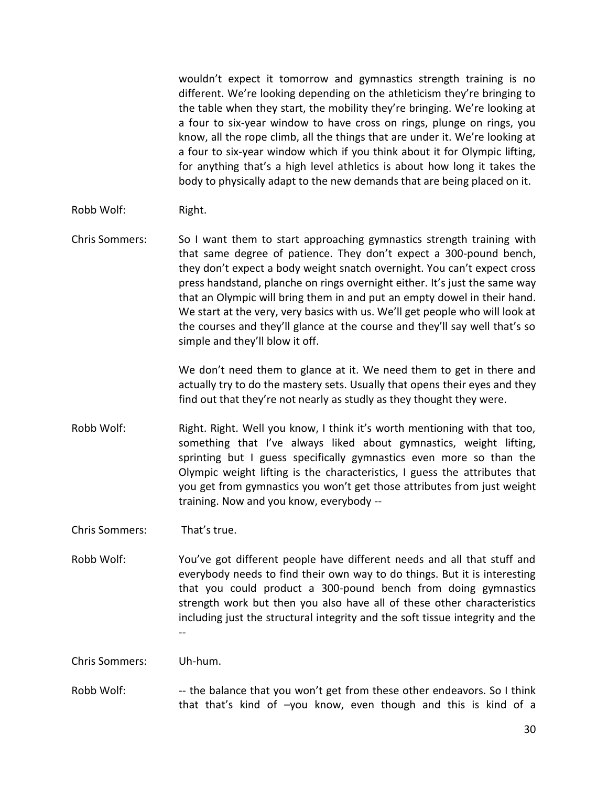wouldn't expect it tomorrow and gymnastics strength training is no different. We're looking depending on the athleticism they're bringing to the table when they start, the mobility they're bringing. We're looking at a four to six-year window to have cross on rings, plunge on rings, you know, all the rope climb, all the things that are under it. We're looking at a four to six-year window which if you think about it for Olympic lifting, for anything that's a high level athletics is about how long it takes the body to physically adapt to the new demands that are being placed on it.

- Robb Wolf: Right.
- Chris Sommers: So I want them to start approaching gymnastics strength training with that same degree of patience. They don't expect a 300-pound bench, they don't expect a body weight snatch overnight. You can't expect cross press handstand, planche on rings overnight either. It's just the same way that an Olympic will bring them in and put an empty dowel in their hand. We start at the very, very basics with us. We'll get people who will look at the courses and they'll glance at the course and they'll say well that's so simple and they'll blow it off.

We don't need them to glance at it. We need them to get in there and actually try to do the mastery sets. Usually that opens their eyes and they find out that they're not nearly as studly as they thought they were.

Robb Wolf: Right. Right. Well you know, I think it's worth mentioning with that too, something that I've always liked about gymnastics, weight lifting, sprinting but I guess specifically gymnastics even more so than the Olympic weight lifting is the characteristics, I guess the attributes that you get from gymnastics you won't get those attributes from just weight training. Now and you know, everybody --

Chris Sommers: That's true.

Robb Wolf: You've got different people have different needs and all that stuff and everybody needs to find their own way to do things. But it is interesting that you could product a 300-pound bench from doing gymnastics strength work but then you also have all of these other characteristics including just the structural integrity and the soft tissue integrity and the --

Chris Sommers: Uh-hum.

Robb Wolf: --- the balance that you won't get from these other endeavors. So I think that that's kind of –you know, even though and this is kind of a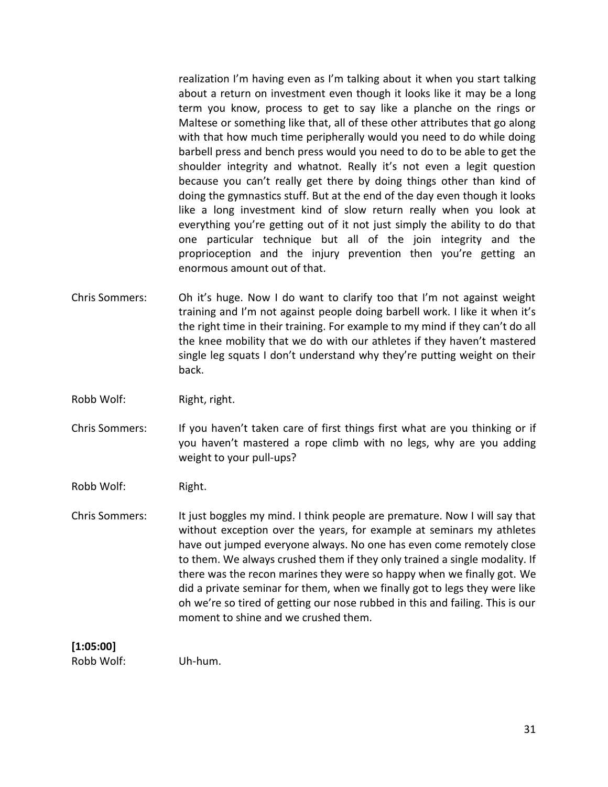realization I'm having even as I'm talking about it when you start talking about a return on investment even though it looks like it may be a long term you know, process to get to say like a planche on the rings or Maltese or something like that, all of these other attributes that go along with that how much time peripherally would you need to do while doing barbell press and bench press would you need to do to be able to get the shoulder integrity and whatnot. Really it's not even a legit question because you can't really get there by doing things other than kind of doing the gymnastics stuff. But at the end of the day even though it looks like a long investment kind of slow return really when you look at everything you're getting out of it not just simply the ability to do that one particular technique but all of the join integrity and the proprioception and the injury prevention then you're getting an enormous amount out of that.

- Chris Sommers: Oh it's huge. Now I do want to clarify too that I'm not against weight training and I'm not against people doing barbell work. I like it when it's the right time in their training. For example to my mind if they can't do all the knee mobility that we do with our athletes if they haven't mastered single leg squats I don't understand why they're putting weight on their back.
- Robb Wolf: Right, right.
- Chris Sommers: If you haven't taken care of first things first what are you thinking or if you haven't mastered a rope climb with no legs, why are you adding weight to your pull-ups?
- Robb Wolf: Right.
- Chris Sommers: It just boggles my mind. I think people are premature. Now I will say that without exception over the years, for example at seminars my athletes have out jumped everyone always. No one has even come remotely close to them. We always crushed them if they only trained a single modality. If there was the recon marines they were so happy when we finally got. We did a private seminar for them, when we finally got to legs they were like oh we're so tired of getting our nose rubbed in this and failing. This is our moment to shine and we crushed them.

#### **[1:05:00]**

Robb Wolf: Uh-hum.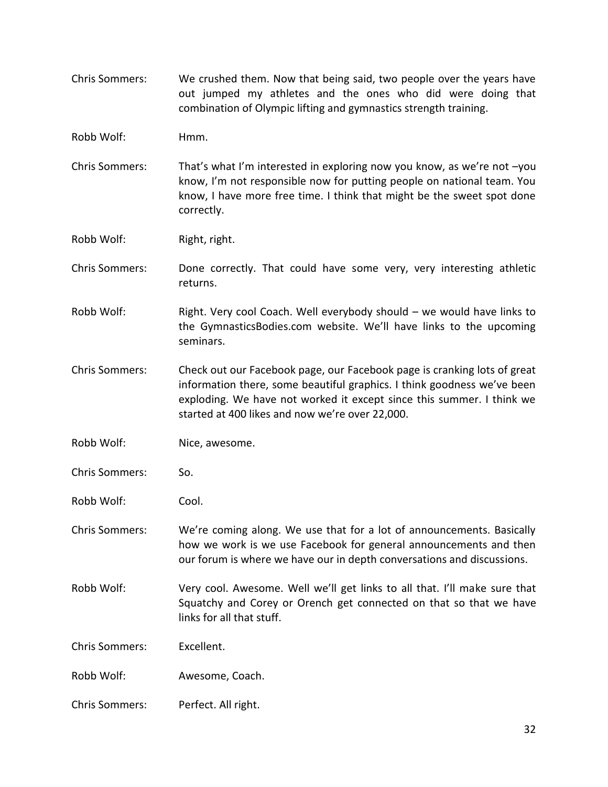- Chris Sommers: We crushed them. Now that being said, two people over the years have out jumped my athletes and the ones who did were doing that combination of Olympic lifting and gymnastics strength training.
- Robb Wolf: Hmm.
- Chris Sommers: That's what I'm interested in exploring now you know, as we're not –you know, I'm not responsible now for putting people on national team. You know, I have more free time. I think that might be the sweet spot done correctly.

Robb Wolf: Right, right.

- Chris Sommers: Done correctly. That could have some very, very interesting athletic returns.
- Robb Wolf: Right. Very cool Coach. Well everybody should we would have links to the GymnasticsBodies.com website. We'll have links to the upcoming seminars.
- Chris Sommers: Check out our Facebook page, our Facebook page is cranking lots of great information there, some beautiful graphics. I think goodness we've been exploding. We have not worked it except since this summer. I think we started at 400 likes and now we're over 22,000.
- Robb Wolf: Nice, awesome.
- Chris Sommers: So.
- Robb Wolf: Cool.
- Chris Sommers: We're coming along. We use that for a lot of announcements. Basically how we work is we use Facebook for general announcements and then our forum is where we have our in depth conversations and discussions.
- Robb Wolf: Very cool. Awesome. Well we'll get links to all that. I'll make sure that Squatchy and Corey or Orench get connected on that so that we have links for all that stuff.

Chris Sommers: Excellent.

- Robb Wolf: Awesome, Coach.
- Chris Sommers: Perfect. All right.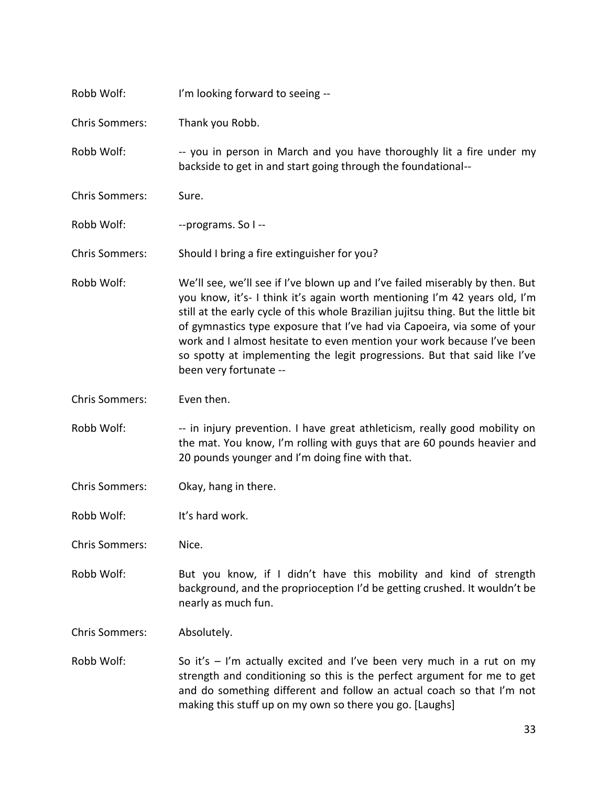| Robb Wolf:            | I'm looking forward to seeing --                                                                                                                                                                                                                                                                                                                                                                                                                                                                             |
|-----------------------|--------------------------------------------------------------------------------------------------------------------------------------------------------------------------------------------------------------------------------------------------------------------------------------------------------------------------------------------------------------------------------------------------------------------------------------------------------------------------------------------------------------|
| <b>Chris Sommers:</b> | Thank you Robb.                                                                                                                                                                                                                                                                                                                                                                                                                                                                                              |
| Robb Wolf:            | -- you in person in March and you have thoroughly lit a fire under my<br>backside to get in and start going through the foundational--                                                                                                                                                                                                                                                                                                                                                                       |
| <b>Chris Sommers:</b> | Sure.                                                                                                                                                                                                                                                                                                                                                                                                                                                                                                        |
| Robb Wolf:            | --programs. So I --                                                                                                                                                                                                                                                                                                                                                                                                                                                                                          |
| <b>Chris Sommers:</b> | Should I bring a fire extinguisher for you?                                                                                                                                                                                                                                                                                                                                                                                                                                                                  |
| Robb Wolf:            | We'll see, we'll see if I've blown up and I've failed miserably by then. But<br>you know, it's- I think it's again worth mentioning I'm 42 years old, I'm<br>still at the early cycle of this whole Brazilian jujitsu thing. But the little bit<br>of gymnastics type exposure that I've had via Capoeira, via some of your<br>work and I almost hesitate to even mention your work because I've been<br>so spotty at implementing the legit progressions. But that said like I've<br>been very fortunate -- |
| <b>Chris Sommers:</b> | Even then.                                                                                                                                                                                                                                                                                                                                                                                                                                                                                                   |
| Robb Wolf:            | -- in injury prevention. I have great athleticism, really good mobility on<br>the mat. You know, I'm rolling with guys that are 60 pounds heavier and<br>20 pounds younger and I'm doing fine with that.                                                                                                                                                                                                                                                                                                     |
| <b>Chris Sommers:</b> | Okay, hang in there.                                                                                                                                                                                                                                                                                                                                                                                                                                                                                         |
| Robb Wolf:            | It's hard work.                                                                                                                                                                                                                                                                                                                                                                                                                                                                                              |
| <b>Chris Sommers:</b> | Nice.                                                                                                                                                                                                                                                                                                                                                                                                                                                                                                        |
| Robb Wolf:            | But you know, if I didn't have this mobility and kind of strength<br>background, and the proprioception I'd be getting crushed. It wouldn't be<br>nearly as much fun.                                                                                                                                                                                                                                                                                                                                        |
| <b>Chris Sommers:</b> | Absolutely.                                                                                                                                                                                                                                                                                                                                                                                                                                                                                                  |
| Robb Wolf:            | So it's $-$ I'm actually excited and I've been very much in a rut on my<br>strength and conditioning so this is the perfect argument for me to get<br>and do something different and follow an actual coach so that I'm not<br>making this stuff up on my own so there you go. [Laughs]                                                                                                                                                                                                                      |